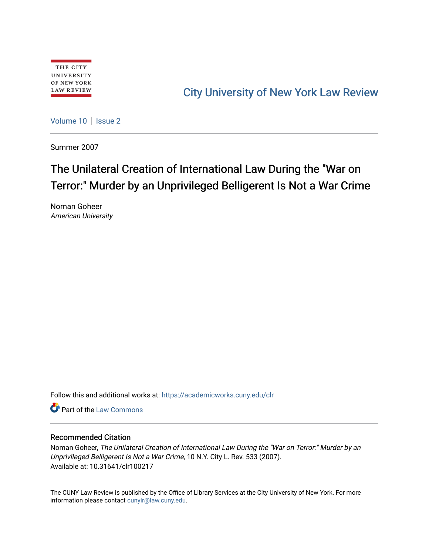# [City University of New York Law Review](https://academicworks.cuny.edu/clr)

[Volume 10](https://academicworks.cuny.edu/clr/vol10) | [Issue 2](https://academicworks.cuny.edu/clr/vol10/iss2)

Summer 2007

# The Unilateral Creation of International Law During the "War on Terror:" Murder by an Unprivileged Belligerent Is Not a War Crime

Noman Goheer American University

Follow this and additional works at: [https://academicworks.cuny.edu/clr](https://academicworks.cuny.edu/clr?utm_source=academicworks.cuny.edu%2Fclr%2Fvol10%2Fiss2%2F18&utm_medium=PDF&utm_campaign=PDFCoverPages) 

**C** Part of the [Law Commons](http://network.bepress.com/hgg/discipline/578?utm_source=academicworks.cuny.edu%2Fclr%2Fvol10%2Fiss2%2F18&utm_medium=PDF&utm_campaign=PDFCoverPages)

## Recommended Citation

Noman Goheer, The Unilateral Creation of International Law During the "War on Terror:" Murder by an Unprivileged Belligerent Is Not a War Crime, 10 N.Y. City L. Rev. 533 (2007). Available at: 10.31641/clr100217

The CUNY Law Review is published by the Office of Library Services at the City University of New York. For more information please contact [cunylr@law.cuny.edu](mailto:cunylr@law.cuny.edu).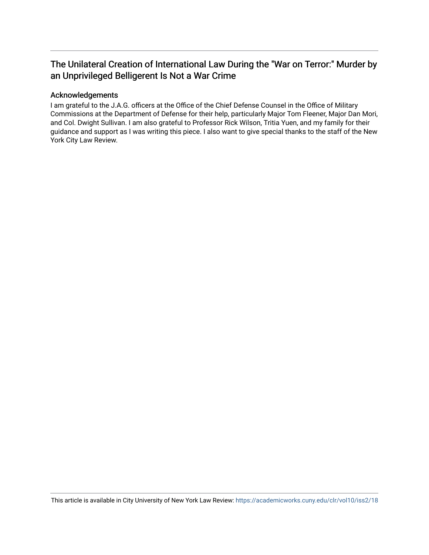# The Unilateral Creation of International Law During the "War on Terror:" Murder by an Unprivileged Belligerent Is Not a War Crime

# Acknowledgements

I am grateful to the J.A.G. officers at the Office of the Chief Defense Counsel in the Office of Military Commissions at the Department of Defense for their help, particularly Major Tom Fleener, Major Dan Mori, and Col. Dwight Sullivan. I am also grateful to Professor Rick Wilson, Tritia Yuen, and my family for their guidance and support as I was writing this piece. I also want to give special thanks to the staff of the New York City Law Review.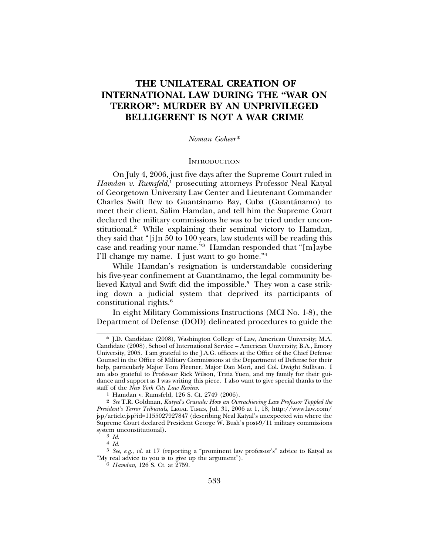# **THE UNILATERAL CREATION OF INTERNATIONAL LAW DURING THE "WAR ON TERROR": MURDER BY AN UNPRIVILEGED BELLIGERENT IS NOT A WAR CRIME**

#### *Noman Goheer*\*

#### **INTRODUCTION**

On July 4, 2006, just five days after the Supreme Court ruled in Hamdan v. Rumsfeld,<sup>1</sup> prosecuting attorneys Professor Neal Katyal of Georgetown University Law Center and Lieutenant Commander Charles Swift flew to Guantánamo Bay, Cuba (Guantánamo) to meet their client, Salim Hamdan, and tell him the Supreme Court declared the military commissions he was to be tried under unconstitutional.2 While explaining their seminal victory to Hamdan, they said that "[i]n 50 to 100 years, law students will be reading this case and reading your name."3 Hamdan responded that "[m]aybe I'll change my name. I just want to go home."4

While Hamdan's resignation is understandable considering his five-year confinement at Guantánamo, the legal community believed Katyal and Swift did the impossible.<sup>5</sup> They won a case striking down a judicial system that deprived its participants of constitutional rights.6

In eight Military Commissions Instructions (MCI No. 1-8), the Department of Defense (DOD) delineated procedures to guide the

<sup>\*</sup> J.D. Candidate (2008), Washington College of Law, American University; M.A. Candidate (2008), School of International Service – American University; B.A., Emory University, 2005. I am grateful to the J.A.G. officers at the Office of the Chief Defense Counsel in the Office of Military Commissions at the Department of Defense for their help, particularly Major Tom Fleener, Major Dan Mori, and Col. Dwight Sullivan. I am also grateful to Professor Rick Wilson, Tritia Yuen, and my family for their guidance and support as I was writing this piece. I also want to give special thanks to the staff of the New York City Law Review.

<sup>&</sup>lt;sup>1</sup> Hamdan v. Rumsfeld, 126 S. Ct. 2749 (2006).

<sup>2</sup> *See* T.R. Goldman, *Katyal's Crusade: How an Overachieving Law Professor Toppled the President's Terror Tribunals*, LEGAL TIMES, Jul. 31, 2006 at 1, 18, http://www.law.com/ jsp/article.jsp?id=1155027927847 (describing Neal Katyal's unexpected win where the Supreme Court declared President George W. Bush's post-9/11 military commissions system unconstitutional).<br><sup>3</sup> *Id.*<br><sup>4</sup> *Id.* 

<sup>5</sup> *See*, *e.g.*, *id.* at 17 (reporting a "prominent law professor's" advice to Katyal as "My real advice to you is to give up the argument"). <sup>6</sup> *Hamdan*, 126 S. Ct. at 2759.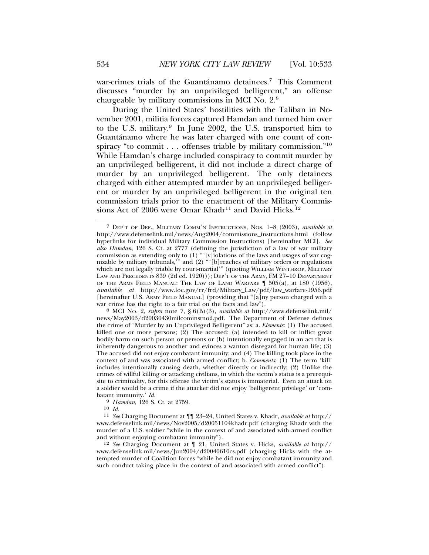war-crimes trials of the Guantánamo detainees.<sup>7</sup> This Comment discusses "murder by an unprivileged belligerent," an offense chargeable by military commissions in MCI No. 2.8

During the United States' hostilities with the Taliban in November 2001, militia forces captured Hamdan and turned him over to the U.S. military.9 In June 2002, the U.S. transported him to Guantánamo where he was later charged with one count of conspiracy "to commit . . . offenses triable by military commission."10 While Hamdan's charge included conspiracy to commit murder by an unprivileged belligerent, it did not include a direct charge of murder by an unprivileged belligerent. The only detainees charged with either attempted murder by an unprivileged belligerent or murder by an unprivileged belligerent in the original ten commission trials prior to the enactment of the Military Commissions Act of 2006 were Omar Khadr<sup>11</sup> and David Hicks.<sup>12</sup>

war crime has the right to a fair trial on the facts and law"). <sup>8</sup> MCI NO. 2, *supra* note 7, § 6(B)(3), *available at* http://www.defenselink.mil/ news/May2003/d20030430milcominstno2.pdf. The Department of Defense defines the crime of "Murder by an Unprivileged Belligerent" as: a. *Elements*: (1) The accused killed one or more persons;  $(2)$  The accused:  $(a)$  intended to kill or inflict great bodily harm on such person or persons or (b) intentionally engaged in an act that is inherently dangerous to another and evinces a wanton disregard for human life; (3) The accused did not enjoy combatant immunity; and (4) The killing took place in the context of and was associated with armed conflict; b. *Comments*: (1) The term 'kill' includes intentionally causing death, whether directly or indirectly; (2) Unlike the crimes of willful killing or attacking civilians, in which the victim's status is a prerequisite to criminality, for this offense the victim's status is immaterial. Even an attack on a soldier would be a crime if the attacker did not enjoy 'belligerent privilege' or 'combatant immunity.'  $Id$ .

<sup>9</sup> *Hamdan*, 126 S. Ct. at 2759.<br><sup>10</sup> *Id.* 

<sup>10</sup> *Id.* <sup>11</sup> *See* Charging Document at ¶¶ 23–24, United States v. Khadr, *available at* http:// www.defenselink.mil/news/Nov2005/d20051104khadr.pdf (charging Khadr with the murder of a U.S. soldier "while in the context of and associated with armed conflict and without enjoying combatant immunity").

12 *See* Charging Document at ¶ 21, United States v. Hicks, *available at* http:// www.defenselink.mil/news/Jun2004/d20040610cs.pdf (charging Hicks with the attempted murder of Coalition forces "while he did not enjoy combatant immunity and such conduct taking place in the context of and associated with armed conflict").

<sup>7</sup> DEP'T OF DEF., MILITARY COMM'N INSTRUCTIONS, NOS. 1–8 (2003), *available at* http://www.defenselink.mil/news/Aug2004/commissions\_instructions.html (follow hyperlinks for individual Military Commission Instructions) [hereinafter MCI]. *See also Hamdan*, 126 S. Ct. at 2777 (defining the jurisdiction of a law of war military commission as extending only to (1) "'[v]iolations of the laws and usages of war cognizable by military tribunals,'" and (2) "'[b]reaches of military orders or regulations which are not legally triable by court-martial'" (quoting WILLIAM WINTHROP, MILITARY LAW AND PRECEDENTS 839 (2d ed. 1920))); DEP'T OF THE ARMY, FM 27-10 DEPARTMENT OF THE ARMY FIELD MANUAL: THE LAW OF LAND WARFARE ¶ 505(a), at 180 (1956), *available at* http://www.loc.gov/rr/frd/Military\_Law/pdf/law\_warfare-1956.pdf [hereinafter U.S. ARMY FIELD MANUAL] (providing that "[a]ny person charged with a war crime has the right to a fair trial on the facts and law").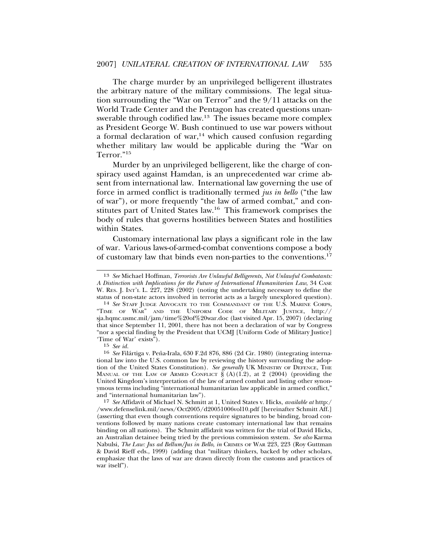The charge murder by an unprivileged belligerent illustrates the arbitrary nature of the military commissions. The legal situation surrounding the "War on Terror" and the 9/11 attacks on the World Trade Center and the Pentagon has created questions unanswerable through codified law.<sup>13</sup> The issues became more complex as President George W. Bush continued to use war powers without a formal declaration of war,<sup>14</sup> which caused confusion regarding whether military law would be applicable during the "War on Terror."15

Murder by an unprivileged belligerent, like the charge of conspiracy used against Hamdan, is an unprecedented war crime absent from international law. International law governing the use of force in armed conflict is traditionally termed *jus in bello* ("the law of war"), or more frequently "the law of armed combat," and constitutes part of United States law.16 This framework comprises the body of rules that governs hostilities between States and hostilities within States.

Customary international law plays a significant role in the law of war. Various laws-of-armed-combat conventions compose a body of customary law that binds even non-parties to the conventions.17

<sup>13</sup> *See* Michael Hoffman, *Terrorists Are Unlawful Belligerents, Not Unlawful Combatants: A Distinction with Implications for the Future of International Humanitarian Law*, 34 CASE W. RES. J. INT'L L. 227, 228 (2002) (noting the undertaking necessary to define the

status of non-state actors involved in terrorist acts as a largely unexplored question). <sup>14</sup> *See* STAFF JUDGE ADVOCATE TO THE COMMANDANT OF THE U.S. MARINE CORPS, "TIME OF WAR" AND THE UNIFORM CODE OF MILITARY JUSTICE, http:// sja.hqmc.usmc.mil/jam/time%20of%20war.doc (last visited Apr. 15, 2007) (declaring that since September 11, 2001, there has not been a declaration of war by Congress "nor a special finding by the President that UCMJ [Uniform Code of Military Justice] 'Time of War' exists").

<sup>15</sup> *See id.*

<sup>&</sup>lt;sup>16</sup> *See* Filártiga v. Peña-Irala, 630 F.2d 876, 886 (2d Cir. 1980) (integrating international law into the U.S. common law by reviewing the history surrounding the adoption of the United States Constitution). *See generally* UK MINISTRY OF DEFENCE, THE MANUAL OF THE LAW OF ARMED CONFLICT  $\S (A)(1.2)$ , at 2 (2004) (providing the United Kingdom's interpretation of the law of armed combat and listing other synonymous terms including "international humanitarian law applicable in armed conflict," and "international humanitarian law").

<sup>17</sup> *See* Affidavit of Michael N. Schmitt at 1, United States v. Hicks, *available at* http:/ /www.defenselink.mil/news/Oct2005/d20051006vol10.pdf [hereinafter Schmitt Aff.] (asserting that even though conventions require signatures to be binding, broad conventions followed by many nations create customary international law that remains binding on all nations). The Schmitt affidavit was written for the trial of David Hicks, an Australian detainee being tried by the previous commission system. *See also* Karma Nabulsi, *The Law: Jus ad Bellum/Jus in Bello*, *in* CRIMES OF WAR 223, 223 (Roy Guttman & David Rieff eds., 1999) (adding that "military thinkers, backed by other scholars, emphasize that the laws of war are drawn directly from the customs and practices of war itself").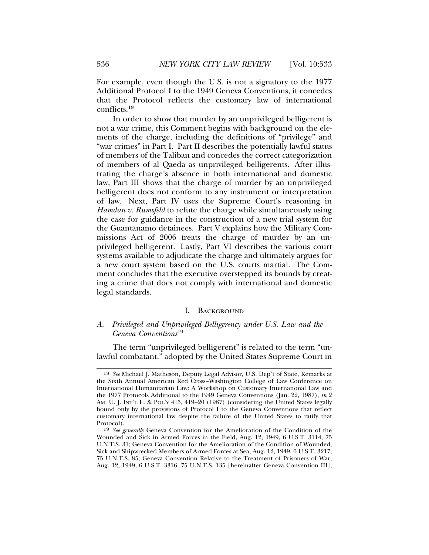For example, even though the U.S. is not a signatory to the 1977 Additional Protocol I to the 1949 Geneva Conventions, it concedes that the Protocol reflects the customary law of international conflicts.18

In order to show that murder by an unprivileged belligerent is not a war crime, this Comment begins with background on the elements of the charge, including the definitions of "privilege" and "war crimes" in Part I. Part II describes the potentially lawful status of members of the Taliban and concedes the correct categorization of members of al Qaeda as unprivileged belligerents. After illustrating the charge's absence in both international and domestic law, Part III shows that the charge of murder by an unprivileged belligerent does not conform to any instrument or interpretation of law. Next, Part IV uses the Supreme Court's reasoning in *Hamdan v. Rumsfeld* to refute the charge while simultaneously using the case for guidance in the construction of a new trial system for the Guantánamo detainees. Part V explains how the Military Commissions Act of 2006 treats the charge of murder by an unprivileged belligerent. Lastly, Part VI describes the various court systems available to adjudicate the charge and ultimately argues for a new court system based on the U.S. courts martial. The Comment concludes that the executive overstepped its bounds by creating a crime that does not comply with international and domestic legal standards.

#### I. BACKGROUND

### *A. Privileged and Unprivileged Belligerency under U.S. Law and the Geneva Conventions*<sup>19</sup>

The term "unprivileged belligerent" is related to the term "unlawful combatant," adopted by the United States Supreme Court in

<sup>18</sup> *See* Michael J. Matheson, Deputy Legal Advisor, U.S. Dep't of State, Remarks at the Sixth Annual American Red Cross–Washington College of Law Conference on International Humanitarian Law: A Workshop on Customary International Law and the 1977 Protocols Additional to the 1949 Geneva Conventions (Jan. 22, 1987), *in* 2 AM. U. J. INT'L L. & POL'Y 415, 419–20 (1987) (considering the United States legally bound only by the provisions of Protocol I to the Geneva Conventions that reflect customary international law despite the failure of the United States to ratify that Protocol).

<sup>19</sup> *See generally* Geneva Convention for the Amelioration of the Condition of the Wounded and Sick in Armed Forces in the Field, Aug. 12, 1949, 6 U.S.T. 3114, 75 U.N.T.S. 31; Geneva Convention for the Amelioration of the Condition of Wounded, Sick and Shipwrecked Members of Armed Forces at Sea, Aug. 12, 1949, 6 U.S.T. 3217, 75 U.N.T.S. 85; Geneva Convention Relative to the Treatment of Prisoners of War, Aug. 12, 1949, 6 U.S.T. 3316, 75 U.N.T.S. 135 [hereinafter Geneva Convention III];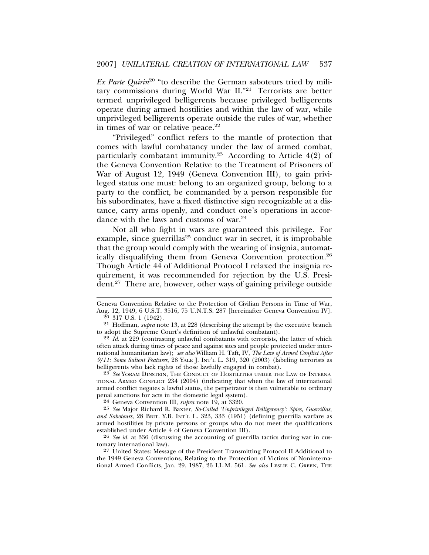*Ex Parte Quirin*<sup>20</sup> "to describe the German saboteurs tried by military commissions during World War II."21 Terrorists are better termed unprivileged belligerents because privileged belligerents operate during armed hostilities and within the law of war, while unprivileged belligerents operate outside the rules of war, whether in times of war or relative peace. $22$ 

"Privileged" conflict refers to the mantle of protection that comes with lawful combatancy under the law of armed combat, particularly combatant immunity.<sup>23</sup> According to Article  $4(2)$  of the Geneva Convention Relative to the Treatment of Prisoners of War of August 12, 1949 (Geneva Convention III), to gain privileged status one must: belong to an organized group, belong to a party to the conflict, be commanded by a person responsible for his subordinates, have a fixed distinctive sign recognizable at a distance, carry arms openly, and conduct one's operations in accordance with the laws and customs of war.<sup>24</sup>

Not all who fight in wars are guaranteed this privilege. For example, since guerrillas<sup>25</sup> conduct war in secret, it is improbable that the group would comply with the wearing of insignia, automatically disqualifying them from Geneva Convention protection.26 Though Article 44 of Additional Protocol I relaxed the insignia requirement, it was recommended for rejection by the U.S. President.27 There are, however, other ways of gaining privilege outside

23 *See* YORAM DINSTEIN, THE CONDUCT OF HOSTILITIES UNDER THE LAW OF INTERNA-TIONAL ARMED CONFLICT 234 (2004) (indicating that when the law of international armed conflict negates a lawful status, the perpetrator is then vulnerable to ordinary penal sanctions for acts in the domestic legal system).

24 Geneva Convention III, *supra* note 19, at 3320.

25 *See* Major Richard R. Baxter, *So-Called 'Unprivileged Belligerency': Spies, Guerrillas, and Saboteurs*, 28 BRIT. Y.B. INT'L L. 323, 333 (1951) (defining guerrilla warfare as armed hostilities by private persons or groups who do not meet the qualifications established under Article 4 of Geneva Convention III).

26 *See id.* at 336 (discussing the accounting of guerrilla tactics during war in customary international law).

27 United States: Message of the President Transmitting Protocol II Additional to the 1949 Geneva Conventions, Relating to the Protection of Victims of Noninternational Armed Conflicts, Jan. 29, 1987, 26 I.L.M. 561. *See also* LESLIE C. GREEN, THE

Geneva Convention Relative to the Protection of Civilian Persons in Time of War, Aug. 12, 1949, 6 U.S.T. 3516, 75 U.N.T.S. 287 [hereinafter Geneva Convention IV].  $20$  317 U.S. 1 (1942).

<sup>21</sup> Hoffman, *supra* note 13, at 228 (describing the attempt by the executive branch to adopt the Supreme Court's definition of unlawful combatant).

<sup>22</sup> *Id.* at 229 (contrasting unlawful combatants with terrorists, the latter of which often attack during times of peace and against sites and people protected under international humanitarian law); *see also* William H. Taft, IV, *The Law of Armed Conflict After 9/11: Some Salient Features*, 28 YALE J. INT'L L. 319, 320 (2003) (labeling terrorists as belligerents who lack rights of those lawfully engaged in combat).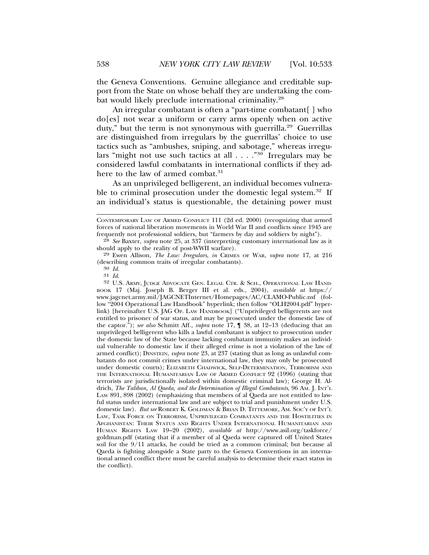the Geneva Conventions. Genuine allegiance and creditable support from the State on whose behalf they are undertaking the combat would likely preclude international criminality.<sup>28</sup>

An irregular combatant is often a "part-time combatant [] who do[es] not wear a uniform or carry arms openly when on active duty," but the term is not synonymous with guerrilla.<sup>29</sup> Guerrillas are distinguished from irregulars by the guerrillas' choice to use tactics such as "ambushes, sniping, and sabotage," whereas irregulars "might not use such tactics at all . . . ."30 Irregulars may be considered lawful combatants in international conflicts if they adhere to the law of armed combat.<sup>31</sup>

As an unprivileged belligerent, an individual becomes vulnerable to criminal prosecution under the domestic legal system.<sup>32</sup> If an individual's status is questionable, the detaining power must

32 U.S. ARMY, JUDGE ADVOCATE GEN. LEGAL CTR. & SCH., OPERATIONAL LAW HAND-BOOK 17 (Maj. Joseph B. Berger III et al. eds., 2004), *available at* https:// www.jagcnet.army.mil/JAGCNETInternet/Homepages/AC/CLAMO-Public.nsf (follow "2004 Operational Law Handbook" hyperlink; then follow "OLH2004.pdf" hyperlink) [hereinafter U.S. JAG OP. LAW HANDBOOK] ("Unprivileged belligerents are not entitled to prisoner of war status, and may be prosecuted under the domestic law of the captor."); *see also* Schmitt Aff., *supra* note 17, ¶ 38, at 12–13 (deducing that an unprivileged belligerent who kills a lawful combatant is subject to prosecution under the domestic law of the State because lacking combatant immunity makes an individual vulnerable to domestic law if their alleged crime is not a violation of the law of armed conflict); DINSTEIN, *supra* note 23, at 237 (stating that as long as unlawful combatants do not commit crimes under international law, they may only be prosecuted under domestic courts); ELIZABETH CHADWICK, SELF-DETERMINATION, TERRORISM AND THE INTERNATIONAL HUMANITARIAN LAW OF ARMED CONFLICT 92 (1996) (stating that terrorists are jurisdictionally isolated within domestic criminal law); George H. Aldrich, *The Taliban, Al Qaeda, and the Determination of Illegal Combatants*, 96 AM. J. INT'L LAW 891, 898 (2002) (emphasizing that members of al Qaeda are not entitled to lawful status under international law and are subject to trial and punishment under U.S. domestic law). *But see* ROBERT K. GOLDMAN & BRIAN D. TITTEMORE, AM. SOC'Y OF INT'L LAW, TASK FORCE ON TERRORISM, UNPRIVILEGED COMBATANTS AND THE HOSTILITIES IN AFGHANISTAN: THEIR STATUS AND RIGHTS UNDER INTERNATIONAL HUMANITARIAN AND HUMAN RIGHTS LAW 19–20 (2002), *available at* http://www.asil.org/taskforce/ goldman.pdf (stating that if a member of al Qaeda were captured off United States soil for the 9/11 attacks, he could be tried as a common criminal; but because al Qaeda is fighting alongside a State party to the Geneva Conventions in an international armed conflict there must be careful analysis to determine their exact status in the conflict).

CONTEMPORARY LAW OF ARMED CONFLICT 111 (2d ed. 2000) (recognizing that armed forces of national liberation movements in World War II and conflicts since 1945 are frequently not professional soldiers, but "farmers by day and soldiers by night").

<sup>28</sup> *See* Baxter, *supra* note 25, at 337 (interpreting customary international law as it should apply to the reality of post-WWII warfare).

<sup>29</sup> Ewen Allison, *The Law: Irregulars*, *in* CRIMES OF WAR, *supra* note 17, at 216 (describing common traits of irregular combatants). <sup>30</sup> *Id.*

<sup>31</sup> *Id.*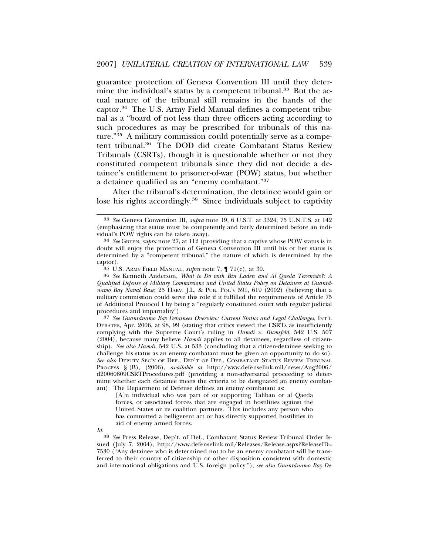guarantee protection of Geneva Convention III until they determine the individual's status by a competent tribunal.<sup>33</sup> But the actual nature of the tribunal still remains in the hands of the captor.34 The U.S. Army Field Manual defines a competent tribunal as a "board of not less than three officers acting according to such procedures as may be prescribed for tribunals of this nature."<sup>35</sup> A military commission could potentially serve as a competent tribunal.36 The DOD did create Combatant Status Review Tribunals (CSRTs), though it is questionable whether or not they constituted competent tribunals since they did not decide a detainee's entitlement to prisoner-of-war (POW) status, but whether a detainee qualified as an "enemy combatant."37

After the tribunal's determination, the detainee would gain or lose his rights accordingly.<sup>38</sup> Since individuals subject to captivity

<sup>37</sup> See Guantánamo Bay Detainees Overview: Current Status and Legal Challenges, INT'L DEBATES, Apr. 2006, at 98, 99 (stating that critics viewed the CSRTs as insufficiently complying with the Supreme Court's ruling in *Hamdi v. Rumsfeld*, 542 U.S. 507 (2004), because many believe *Hamdi* applies to all detainees, regardless of citizenship). *See also Hamdi*, 542 U.S. at 533 (concluding that a citizen-detainee seeking to challenge his status as an enemy combatant must be given an opportunity to do so). *See also* DEPUTY SEC'Y OF DEF., DEP'T OF DEF., COMBATANT STATUS REVIEW TRIBUNAL PROCESS § (B), (2006), *available at* http://www.defenselink.mil/news/Aug2006/ d20060809CSRTProcedures.pdf (providing a non-adversarial proceeding to determine whether each detainee meets the criteria to be designated an enemy combatant). The Department of Defense defines an enemy combatant as:

[A]n individual who was part of or supporting Taliban or al Qaeda forces, or associated forces that are engaged in hostilities against the United States or its coalition partners. This includes any person who has committed a belligerent act or has directly supported hostilities in aid of enemy armed forces.

*Id*.

38 *See* Press Release, Dep't. of Def., Combatant Status Review Tribunal Order Issued (July 7, 2004), http://www.defenselink.mil/Releases/Release.aspx?ReleaseID= 7530 ("Any detainee who is determined not to be an enemy combatant will be transferred to their country of citizenship or other disposition consistent with domestic and international obligations and U.S. foreign policy."); *see also Guantanamo Bay De- ´*

<sup>33</sup> *See* Geneva Convention III, *supra* note 19, 6 U.S.T. at 3324, 75 U.N.T.S. at 142 (emphasizing that status must be competently and fairly determined before an individual's POW rights can be taken away).<br><sup>34</sup> *See* GREEN, *supra* note 27, at 112 (providing that a captive whose POW status is in

doubt will enjoy the protection of Geneva Convention III until his or her status is determined by a "competent tribunal," the nature of which is determined by the captor).<br><sup>35</sup> U.S. Army Field Manual, *supra* note 7,  $\P$  71(c), at 30.

<sup>&</sup>lt;sup>36</sup> See Kenneth Anderson, *What to Do with Bin Laden and Al Qaeda Terrorists?: A Qualified Defense of Military Commissions and United States Policy on Detainees at Guanta-´ namo Bay Naval Base*, 25 HARV. J.L. & PUB. POL'Y 591, 619 (2002) (believing that a military commission could serve this role if it fulfilled the requirements of Article 75 of Additional Protocol I by being a "regularly constituted court with regular judicial procedures and impartiality").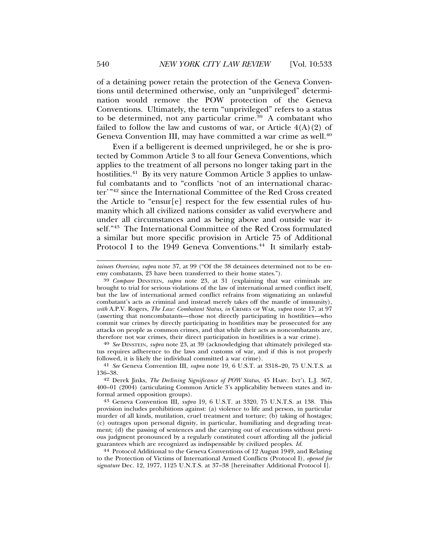of a detaining power retain the protection of the Geneva Conventions until determined otherwise, only an "unprivileged" determination would remove the POW protection of the Geneva Conventions. Ultimately, the term "unprivileged" refers to a status to be determined, not any particular crime.<sup>39</sup> A combatant who failed to follow the law and customs of war, or Article  $4(A)(2)$  of Geneva Convention III, may have committed a war crime as well.40

Even if a belligerent is deemed unprivileged, he or she is protected by Common Article 3 to all four Geneva Conventions, which applies to the treatment of all persons no longer taking part in the hostilities.<sup>41</sup> By its very nature Common Article 3 applies to unlawful combatants and to "conflicts 'not of an international character'<sup>"42</sup> since the International Committee of the Red Cross created the Article to "ensur[e] respect for the few essential rules of humanity which all civilized nations consider as valid everywhere and under all circumstances and as being above and outside war itself."43 The International Committee of the Red Cross formulated a similar but more specific provision in Article 75 of Additional Protocol I to the 1949 Geneva Conventions.<sup>44</sup> It similarly estab-

40 *See* DINSTEIN, *supra* note 23, at 39 (acknowledging that ultimately privileged status requires adherence to the laws and customs of war, and if this is not properly followed, it is likely the individual committed a war crime).

*tainees Overview*, *supra* note 37, at 99 ("Of the 38 detainees determined not to be enemy combatants, 23 have been transferred to their home states.").

<sup>39</sup> *Compare* DINSTEIN, *supra* note 23, at 31 (explaining that war criminals are brought to trial for serious violations of the law of international armed conflict itself, but the law of international armed conflict refrains from stigmatizing an unlawful combatant's acts as criminal and instead merely takes off the mantle of immunity), *with* A.P.V. Rogers, *The Law: Combatant Status*, *in* CRIMES OF WAR, *supra* note 17, at 97 (asserting that noncombatants—those not directly participating in hostilities—who commit war crimes by directly participating in hostilities may be prosecuted for any attacks on people as common crimes, and that while their acts as noncombatants are, therefore not war crimes, their direct participation in hostilities is a war crime).

<sup>41</sup> *See* Geneva Convention III, *supra* note 19, 6 U.S.T. at 3318–20, 75 U.N.T.S. at 136–38.

<sup>42</sup> Derek Jinks, *The Declining Significance of POW Status*, 45 HARV. INT'L L.J. 367, 400–01 (2004) (articulating Common Article 3's applicability between states and informal armed opposition groups).

<sup>43</sup> Geneva Convention III, *supra* 19, 6 U.S.T. at 3320, 75 U.N.T.S. at 138. This provision includes prohibitions against: (a) violence to life and person, in particular murder of all kinds, mutilation, cruel treatment and torture; (b) taking of hostages; (c) outrages upon personal dignity, in particular, humiliating and degrading treatment; (d) the passing of sentences and the carrying out of executions without previous judgment pronounced by a regularly constituted court affording all the judicial guarantees which are recognized as indispensable by civilized peoples. *Id.*

<sup>44</sup> Protocol Additional to the Geneva Conventions of 12 August 1949, and Relating to the Protection of Victims of International Armed Conflicts (Protocol I), *opened for signature* Dec. 12, 1977, 1125 U.N.T.S. at 37–38 [hereinafter Additional Protocol I].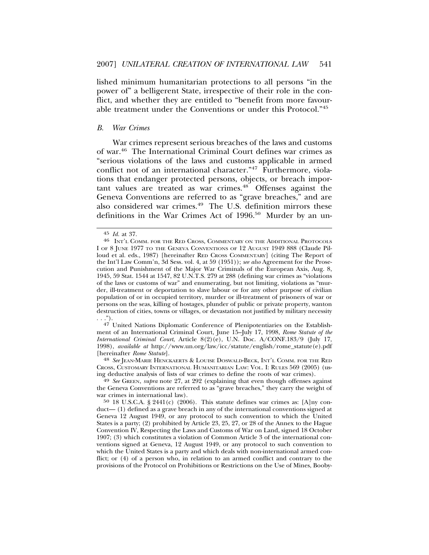lished minimum humanitarian protections to all persons "in the power of" a belligerent State, irrespective of their role in the conflict, and whether they are entitled to "benefit from more favourable treatment under the Conventions or under this Protocol."45

#### *B. War Crimes*

War crimes represent serious breaches of the laws and customs of war.46 The International Criminal Court defines war crimes as "serious violations of the laws and customs applicable in armed conflict not of an international character."47 Furthermore, violations that endanger protected persons, objects, or breach important values are treated as war crimes.48 Offenses against the Geneva Conventions are referred to as "grave breaches," and are also considered war crimes.<sup>49</sup> The U.S. definition mirrors these definitions in the War Crimes Act of 1996.<sup>50</sup> Murder by an un-

47 United Nations Diplomatic Conference of Plenipotentiaries on the Establishment of an International Criminal Court, June 15–July 17, 1998, *Rome Statute of the International Criminal Court*, Article 8(2)(e), U.N. Doc. A/CONF.183/9 (July 17, 1998), *available at* http://www.un.org/law/icc/statute/english/rome\_statute(e).pdf

[hereinafter *Rome Statute*]. <sup>48</sup> *See* JEAN-MARIE HENCKAERTS & LOUISE DOSWALD-BECK, INT'L COMM. FOR THE RED CROSS, CUSTOMARY INTERNATIONAL HUMANITARIAN LAW: VOL. I: RULES 569 (2005) (using deductive analysis of lists of war crimes to define the roots of war crimes).

<sup>49</sup> See GREEN, *supra* note 27, at 292 (explaining that even though offenses against the Geneva Conventions are referred to as "grave breaches," they carry the weight of war crimes in international law).

 $50\,18$  U.S.C.A. § 2441(c) (2006). This statute defines war crimes as: [A]ny conduct— (1) defined as a grave breach in any of the international conventions signed at Geneva 12 August 1949, or any protocol to such convention to which the United States is a party; (2) prohibited by Article 23, 25, 27, or 28 of the Annex to the Hague Convention IV, Respecting the Laws and Customs of War on Land, signed 18 October 1907; (3) which constitutes a violation of Common Article 3 of the international conventions signed at Geneva, 12 August 1949, or any protocol to such convention to which the United States is a party and which deals with non-international armed conflict; or (4) of a person who, in relation to an armed conflict and contrary to the provisions of the Protocol on Prohibitions or Restrictions on the Use of Mines, Booby-

<sup>45</sup> *Id.* at 37. 46 INT'L COMM. FOR THE RED CROSS, COMMENTARY ON THE ADDITIONAL PROTOCOLS I OF 8 JUNE 1977 TO THE GENEVA CONVENTIONS OF 12 AUGUST 1949 888 (Claude Pilloud et al. eds., 1987) [hereinafter RED CROSS COMMENTARY] (citing The Report of the Int'l Law Comm'n, 3d Sess. vol. 4, at 59 (1951)); *see also* Agreement for the Prosecution and Punishment of the Major War Criminals of the European Axis, Aug. 8, 1945, 59 Stat. 1544 at 1547, 82 U.N.T.S. 279 at 288 (defining war crimes as "violations of the laws or customs of war" and enumerating, but not limiting, violations as "murder, ill-treatment or deportation to slave labour or for any other purpose of civilian population of or in occupied territory, murder or ill-treatment of prisoners of war or persons on the seas, killing of hostages, plunder of public or private property, wanton destruction of cities, towns or villages, or devastation not justified by military necessity . . .").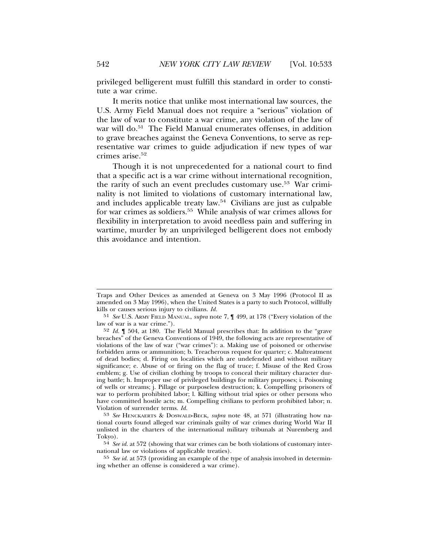privileged belligerent must fulfill this standard in order to constitute a war crime.

It merits notice that unlike most international law sources, the U.S. Army Field Manual does not require a "serious" violation of the law of war to constitute a war crime, any violation of the law of war will do.<sup>51</sup> The Field Manual enumerates offenses, in addition to grave breaches against the Geneva Conventions, to serve as representative war crimes to guide adjudication if new types of war crimes arise.<sup>52</sup>

Though it is not unprecedented for a national court to find that a specific act is a war crime without international recognition, the rarity of such an event precludes customary use.<sup>53</sup> War criminality is not limited to violations of customary international law, and includes applicable treaty law.54 Civilians are just as culpable for war crimes as soldiers.55 While analysis of war crimes allows for flexibility in interpretation to avoid needless pain and suffering in wartime, murder by an unprivileged belligerent does not embody this avoidance and intention.

Traps and Other Devices as amended at Geneva on 3 May 1996 (Protocol II as amended on 3 May 1996), when the United States is a party to such Protocol, willfully kills or causes serious injury to civilians. *Id.*

<sup>51</sup> *See* U.S. ARMY FIELD MANUAL, *supra* note 7, ¶ 499, at 178 ("Every violation of the law of war is a war crime.").

<sup>52</sup> *Id.* ¶ 504, at 180. The Field Manual prescribes that: In addition to the "grave breaches" of the Geneva Conventions of 1949, the following acts are representative of violations of the law of war ("war crimes"): a. Making use of poisoned or otherwise forbidden arms or ammunition; b. Treacherous request for quarter; c. Maltreatment of dead bodies; d. Firing on localities which are undefended and without military significance; e. Abuse of or firing on the flag of truce; f. Misuse of the Red Cross emblem; g. Use of civilian clothing by troops to conceal their military character during battle; h. Improper use of privileged buildings for military purposes; i. Poisoning of wells or streams; j. Pillage or purposeless destruction; k. Compelling prisoners of war to perform prohibited labor; l. Killing without trial spies or other persons who have committed hostile acts; m. Compelling civilians to perform prohibited labor; n. Violation of surrender terms. *Id.*

<sup>53</sup> *See* HENCKAERTS & DOSWALD-BECK, *supra* note 48, at 571 (illustrating how national courts found alleged war criminals guilty of war crimes during World War II unlisted in the charters of the international military tribunals at Nuremberg and Tokyo).

<sup>54</sup> *See id.* at 572 (showing that war crimes can be both violations of customary international law or violations of applicable treaties).

<sup>55</sup> *See id.* at 573 (providing an example of the type of analysis involved in determining whether an offense is considered a war crime).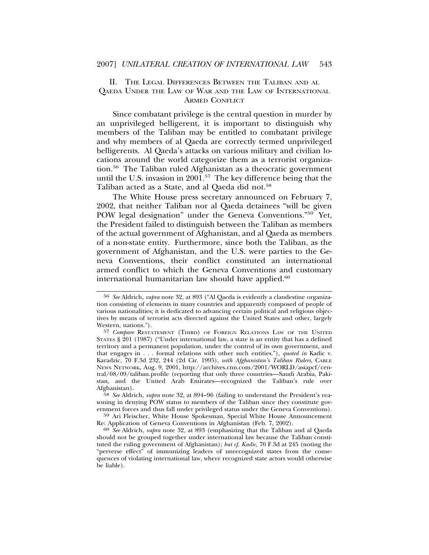II. THE LEGAL DIFFERENCES BETWEEN THE TALIBAN AND AL QAEDA UNDER THE LAW OF WAR AND THE LAW OF INTERNATIONAL ARMED CONFLICT

Since combatant privilege is the central question in murder by an unprivileged belligerent, it is important to distinguish why members of the Taliban may be entitled to combatant privilege and why members of al Qaeda are correctly termed unprivileged belligerents. Al Qaeda's attacks on various military and civilian locations around the world categorize them as a terrorist organization.56 The Taliban ruled Afghanistan as a theocratic government until the U.S. invasion in 2001.57 The key difference being that the Taliban acted as a State, and al Qaeda did not.<sup>58</sup>

The White House press secretary announced on February 7, 2002, that neither Taliban nor al Qaeda detainees "will be given POW legal designation" under the Geneva Conventions."59 Yet, the President failed to distinguish between the Taliban as members of the actual government of Afghanistan, and al Qaeda as members of a non-state entity. Furthermore, since both the Taliban, as the government of Afghanistan, and the U.S. were parties to the Geneva Conventions, their conflict constituted an international armed conflict to which the Geneva Conventions and customary international humanitarian law should have applied.<sup>60</sup>

58 *See* Aldrich, *supra* note 32, at 894–96 (failing to understand the President's reasoning in denying POW status to members of the Taliban since they constitute government forces and thus fall under privileged status under the Geneva Conventions).

<sup>59</sup> Ari Fleischer, White House Spokesman, Special White House Announcement<br>Re: Application of Geneva Conventions in Afghanistan (Feb. 7, 2002).

Re: Application of Geneva Conventions in Afghanistan (Feb. 7, 2002). <sup>60</sup> *See* Aldrich, *supra* note 32, at 893 (emphasizing that the Taliban and al Qaeda should not be grouped together under international law because the Taliban constituted the ruling government of Afghanistan); *but cf. Kadic*, 70 F.3d at 245 (noting the "perverse effect" of immunizing leaders of unrecognized states from the consequences of violating international law, where recognized state actors would otherwise be liable).

<sup>56</sup> *See* Aldrich, *supra* note 32, at 893 ("Al Qaeda is evidently a clandestine organization consisting of elements in many countries and apparently composed of people of various nationalities; it is dedicated to advancing certain political and religious objectives by means of terrorist acts directed against the United States and other, largely Western, nations.").

<sup>57</sup> *Compare* RESTATEMENT (THIRD) OF FOREIGN RELATIONS LAW OF THE UNITED STATES § 201 (1987) ("Under international law, a state is an entity that has a defined territory and a permanent population, under the control of its own government, and that engages in . . . formal relations with other such entities."), *quoted in* Kadic v. Karadzic, 70 F.3d 232, 244 (2d Cir. 1995), *with Afghanistan's Taliban Rulers*, CABLE NEWS NETWORK, Aug. 9, 2001, http://archives.cnn.com/2001/WORLD/asiapcf/central/08/09/taliban.profile (reporting that only three countries—Saudi Arabia, Pakistan, and the United Arab Emirates—recognized the Taliban's rule over Afghanistan).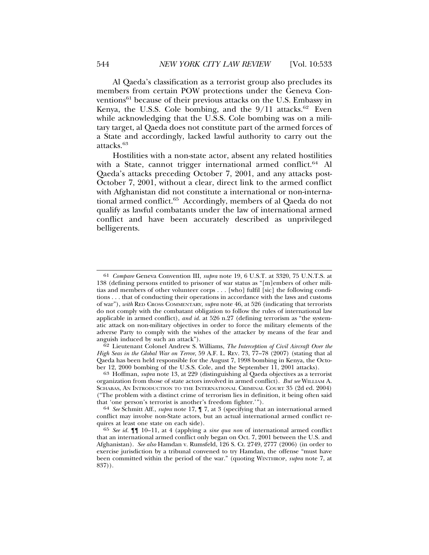Al Qaeda's classification as a terrorist group also precludes its members from certain POW protections under the Geneva Conventions<sup>61</sup> because of their previous attacks on the U.S. Embassy in Kenya, the U.S.S. Cole bombing, and the  $9/11$  attacks.<sup>62</sup> Even while acknowledging that the U.S.S. Cole bombing was on a military target, al Qaeda does not constitute part of the armed forces of a State and accordingly, lacked lawful authority to carry out the attacks.<sup>63</sup>

Hostilities with a non-state actor, absent any related hostilities with a State, cannot trigger international armed conflict.<sup>64</sup> Al Qaeda's attacks preceding October 7, 2001, and any attacks post-October 7, 2001, without a clear, direct link to the armed conflict with Afghanistan did not constitute a international or non-international armed conflict.65 Accordingly, members of al Qaeda do not qualify as lawful combatants under the law of international armed conflict and have been accurately described as unprivileged belligerents.

62 Lieutenant Colonel Andrew S. Williams, *The Interception of Civil Aircraft Over the High Seas in the Global War on Terror*, 59 A.F. L. REV. 73, 77–78 (2007) (stating that al Qaeda has been held responsible for the August 7, 1998 bombing in Kenya, the Octo-

ber 12, 2000 bombing of the U.S.S. Cole, and the September 11, 2001 attacks). <sup>63</sup> Hoffman, *supra* note 13, at 229 (distinguishing al Qaeda objectives as a terrorist organization from those of state actors involved in armed conflict). *But see* WILLIAM A. SCHABAS, AN INTRODUCTION TO THE INTERNATIONAL CRIMINAL COURT 35 (2d ed. 2004) ("The problem with a distinct crime of terrorism lies in definition, it being often said that 'one person's terrorist is another's freedom fighter.'"). <sup>64</sup> *See* Schmitt Aff., *supra* note 17, ¶ 7, at 3 (specifying that an international armed

conflict may involve non-State actors, but an actual international armed conflict requires at least one state on each side).

<sup>61</sup> *Compare* Geneva Convention III, *supra* note 19, 6 U.S.T. at 3320, 75 U.N.T.S. at 138 (defining persons entitled to prisoner of war status as "[m]embers of other militias and members of other volunteer corps . . . [who] fulfil [sic] the following conditions . . . that of conducting their operations in accordance with the laws and customs of war"), *with* RED CROSS COMMENTARY, *supra* note 46, at 526 (indicating that terrorists do not comply with the combatant obligation to follow the rules of international law applicable in armed conflict), *and id.* at 526 n.27 (defining terrorism as "the systematic attack on non-military objectives in order to force the military elements of the adverse Party to comply with the wishes of the attacker by means of the fear and anguish induced by such an attack").

<sup>65</sup> *See id.* ¶¶ 10–11, at 4 (applying a *sine qua non* of international armed conflict that an international armed conflict only began on Oct. 7, 2001 between the U.S. and Afghanistan). *See also* Hamdan v. Rumsfeld, 126 S. Ct. 2749, 2777 (2006) (in order to exercise jurisdiction by a tribunal convened to try Hamdan, the offense "must have been committed within the period of the war." (quoting WINTHROP, *supra* note 7, at 837)).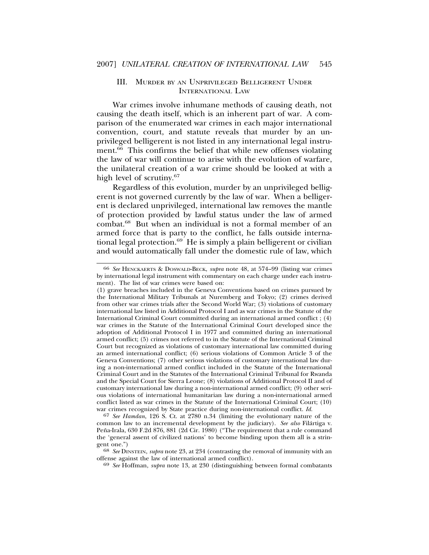#### III. MURDER BY AN UNPRIVILEGED BELLIGERENT UNDER INTERNATIONAL LAW

War crimes involve inhumane methods of causing death, not causing the death itself, which is an inherent part of war. A comparison of the enumerated war crimes in each major international convention, court, and statute reveals that murder by an unprivileged belligerent is not listed in any international legal instrument.<sup>66</sup> This confirms the belief that while new offenses violating the law of war will continue to arise with the evolution of warfare, the unilateral creation of a war crime should be looked at with a high level of scrutiny.<sup>67</sup>

Regardless of this evolution, murder by an unprivileged belligerent is not governed currently by the law of war. When a belligerent is declared unprivileged, international law removes the mantle of protection provided by lawful status under the law of armed combat.68 But when an individual is not a formal member of an armed force that is party to the conflict, he falls outside international legal protection.<sup>69</sup> He is simply a plain belligerent or civilian and would automatically fall under the domestic rule of law, which

67 *See Hamdan*, 126 S. Ct. at 2780 n.34 (limiting the evolutionary nature of the common law to an incremental development by the judiciary). *See also* Filartiga v. ´ Peña-Irala, 630 F.2d 876, 881 (2d Cir. 1980) ("The requirement that a rule command the 'general assent of civilized nations' to become binding upon them all is a strin-

<sup>68</sup> *See* DINSTEIN, *supra* note 23, at 234 (contrasting the removal of immunity with an offense against the law of international armed conflict).

offense against the law of international armed conflict). <sup>69</sup> *See* Hoffman, *supra* note 13, at 230 (distinguishing between formal combatants

<sup>66</sup> *See* HENCKAERTS & DOSWALD-BECK, *supra* note 48, at 574–99 (listing war crimes by international legal instrument with commentary on each charge under each instrument). The list of war crimes were based on:

<sup>(1)</sup> grave breaches included in the Geneva Conventions based on crimes pursued by the International Military Tribunals at Nuremberg and Tokyo; (2) crimes derived from other war crimes trials after the Second World War; (3) violations of customary international law listed in Additional Protocol I and as war crimes in the Statute of the International Criminal Court committed during an international armed conflict ; (4) war crimes in the Statute of the International Criminal Court developed since the adoption of Additional Protocol I in 1977 and committed during an international armed conflict; (5) crimes not referred to in the Statute of the International Criminal Court but recognized as violations of customary international law committed during an armed international conflict; (6) serious violations of Common Article 3 of the Geneva Conventions; (7) other serious violations of customary international law during a non-international armed conflict included in the Statute of the International Criminal Court and in the Statutes of the International Criminal Tribunal for Rwanda and the Special Court for Sierra Leone; (8) violations of Additional Protocol II and of customary international law during a non-international armed conflict; (9) other serious violations of international humanitarian law during a non-international armed conflict listed as war crimes in the Statute of the International Criminal Court; (10) war crimes recognized by State practice during non-international conflict. *Id.*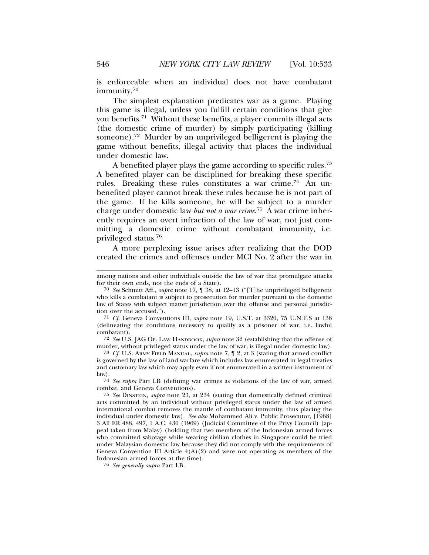is enforceable when an individual does not have combatant immunity.<sup>70</sup>

The simplest explanation predicates war as a game. Playing this game is illegal, unless you fulfill certain conditions that give you benefits.71 Without these benefits, a player commits illegal acts (the domestic crime of murder) by simply participating (killing someone).72 Murder by an unprivileged belligerent is playing the game without benefits, illegal activity that places the individual under domestic law.

A benefited player plays the game according to specific rules.<sup>73</sup> A benefited player can be disciplined for breaking these specific rules. Breaking these rules constitutes a war crime.<sup>74</sup> An unbenefited player cannot break these rules because he is not part of the game. If he kills someone, he will be subject to a murder charge under domestic law *but not a war crime*. 75 A war crime inherently requires an overt infraction of the law of war, not just committing a domestic crime without combatant immunity, i.e. privileged status.76

A more perplexing issue arises after realizing that the DOD created the crimes and offenses under MCI No. 2 after the war in

74 *See supra* Part I.B (defining war crimes as violations of the law of war, armed combat, and Geneva Conventions).

among nations and other individuals outside the law of war that promulgate attacks for their own ends, not the ends of a State).

<sup>70</sup> *See* Schmitt Aff., *supra* note 17, ¶ 38, at 12–13 ("[T]he unprivileged belligerent who kills a combatant is subject to prosecution for murder pursuant to the domestic law of States with subject matter jurisdiction over the offense and personal jurisdiction over the accused.").

<sup>71</sup> *Cf.* Geneva Conventions III, *supra* note 19, U.S.T. at 3320, 75 U.N.T.S at 138 (delineating the conditions necessary to qualify as a prisoner of war, i.e. lawful combatant).

<sup>72</sup> *See* U.S. JAG OP. LAW HANDBOOK, *supra* note 32 (establishing that the offense of murder, without privileged status under the law of war, is illegal under domestic law).

<sup>73</sup> *Cf.* U.S. ARMY FIELD MANUAL, *supra* note 7, ¶ 2, at 3 (stating that armed conflict is governed by the law of land warfare which includes law enumerated in legal treaties and customary law which may apply even if not enumerated in a written instrument of law).

<sup>75</sup> *See* DINSTEIN, *supra* note 23, at 234 (stating that domestically defined criminal acts committed by an individual without privileged status under the law of armed international combat removes the mantle of combatant immunity, thus placing the individual under domestic law). *See also* Mohammed Ali v. Public Prosecutor, [1968] 3 All ER 488, 497, 1 A.C. 430 (1969) (Judicial Committee of the Privy Council) (appeal taken from Malay) (holding that two members of the Indonesian armed forces who committed sabotage while wearing civilian clothes in Singapore could be tried under Malaysian domestic law because they did not comply with the requirements of Geneva Convention III Article  $4(A)(2)$  and were not operating as members of the Indonesian armed forces at the time).

<sup>76</sup> *See generally supra* Part I.B.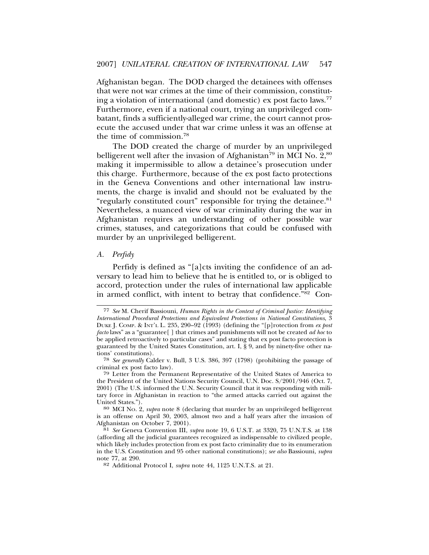Afghanistan began. The DOD charged the detainees with offenses that were not war crimes at the time of their commission, constituting a violation of international (and domestic) ex post facto laws.<sup>77</sup> Furthermore, even if a national court, trying an unprivileged combatant, finds a sufficiently-alleged war crime, the court cannot prosecute the accused under that war crime unless it was an offense at the time of commission.78

The DOD created the charge of murder by an unprivileged belligerent well after the invasion of Afghanistan<sup>79</sup> in MCI No.  $2,80$ making it impermissible to allow a detainee's prosecution under this charge. Furthermore, because of the ex post facto protections in the Geneva Conventions and other international law instruments, the charge is invalid and should not be evaluated by the "regularly constituted court" responsible for trying the detainee.<sup>81</sup> Nevertheless, a nuanced view of war criminality during the war in Afghanistan requires an understanding of other possible war crimes, statuses, and categorizations that could be confused with murder by an unprivileged belligerent.

#### *A. Perfidy*

Perfidy is defined as "[a]cts inviting the confidence of an adversary to lead him to believe that he is entitled to, or is obliged to accord, protection under the rules of international law applicable in armed conflict, with intent to betray that confidence."82 Con-

<sup>77</sup> *See* M. Cherif Bassiouni, *Human Rights in the Context of Criminal Justice: Identifying International Procedural Protections and Equivalent Protections in National Constitutions*, 3 DUKE J. COMP. & INT'L L. 235, 290–92 (1993) (defining the "[p]rotection from *ex post facto* laws" as a "guarantee[ ] that crimes and punishments will not be created *ad hoc* to be applied retroactively to particular cases" and stating that ex post facto protection is guaranteed by the United States Constitution, art. I,  $\S$  9, and by ninety-five other nations' constitutions).

<sup>78</sup> *See generally* Calder v. Bull, 3 U.S. 386, 397 (1798) (prohibiting the passage of criminal ex post facto law).

<sup>79</sup> Letter from the Permanent Representative of the United States of America to the President of the United Nations Security Council, U.N. Doc. S/2001/946 (Oct. 7, 2001) (The U.S. informed the U.N. Security Council that it was responding with military force in Afghanistan in reaction to "the armed attacks carried out against the United States."). 80 MCI No. 2, *supra* note 8 (declaring that murder by an unprivileged belligerent

is an offense on April 30, 2003, almost two and a half years after the invasion of Afghanistan on October 7, 2001).

<sup>81</sup> *See* Geneva Convention III, *supra* note 19, 6 U.S.T. at 3320, 75 U.N.T.S. at 138 (affording all the judicial guarantees recognized as indispensable to civilized people, which likely includes protection from ex post facto criminality due to its enumeration in the U.S. Constitution and 95 other national constitutions); *see also* Bassiouni, *supra* note 77, at 290.

<sup>82</sup> Additional Protocol I, *supra* note 44, 1125 U.N.T.S. at 21.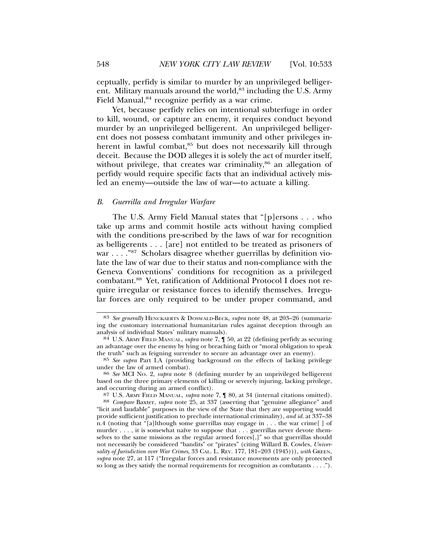ceptually, perfidy is similar to murder by an unprivileged belligerent. Military manuals around the world,<sup>83</sup> including the U.S. Army Field Manual,<sup>84</sup> recognize perfidy as a war crime.

Yet, because perfidy relies on intentional subterfuge in order to kill, wound, or capture an enemy, it requires conduct beyond murder by an unprivileged belligerent. An unprivileged belligerent does not possess combatant immunity and other privileges inherent in lawful combat,<sup>85</sup> but does not necessarily kill through deceit. Because the DOD alleges it is solely the act of murder itself, without privilege, that creates war criminality,<sup>86</sup> an allegation of perfidy would require specific facts that an individual actively misled an enemy—outside the law of war—to actuate a killing.

#### *B. Guerrilla and Irregular Warfare*

The U.S. Army Field Manual states that "[p]ersons . . . who take up arms and commit hostile acts without having complied with the conditions pre-scribed by the laws of war for recognition as belligerents . . . [are] not entitled to be treated as prisoners of war . . . . "87 Scholars disagree whether guerrillas by definition violate the law of war due to their status and non-compliance with the Geneva Conventions' conditions for recognition as a privileged combatant.88 Yet, ratification of Additional Protocol I does not require irregular or resistance forces to identify themselves. Irregular forces are only required to be under proper command, and

<sup>83</sup> *See generally* HENCKAERTS & DOSWALD-BECK, *supra* note 48, at 203–26 (summarizing the customary international humanitarian rules against deception through an analysis of individual States' military manuals).

<sup>84</sup> U.S. ARMY FIELD MANUAL, *supra* note 7,  $\llbracket$  50, at 22 (defining perfidy as securing an advantage over the enemy by lying or breaching faith or "moral obligation to speak the truth" such as feigning surrender to secure an advantage over an enemy).

<sup>85</sup> *See supra* Part I.A (providing background on the effects of lacking privilege under the law of armed combat). <sup>86</sup> *See* MCI NO. 2, *supra* note 8 (defining murder by an unprivileged belligerent

based on the three primary elements of killing or severely injuring, lacking privilege, and occurring during an armed conflict).<br><sup>87</sup> U.S. ARMY FIELD MANUAL, *supra* note 7, **[80, at 34** (internal citations omitted).

<sup>88</sup> Compare Baxter, *supra* note 25, at 337 (asserting that "genuine allegiance" and "licit and laudable" purposes in the view of the State that they are supporting would provide sufficient justification to preclude international criminality), *and id.* at 337–38 n.4 (noting that "[a]lthough some guerrillas may engage in . . . the war crime[ ] of murder . . . , it is somewhat naïve to suppose that . . . guerrillas never devote themselves to the same missions as the regular armed forces[,]" so that guerrillas should not necessarily be considered "bandits" or "pirates" (citing Willard B. Cowles, *Universality of Jurisdiction over War Crimes*, 33 CAL. L. REV. 177, 181–203 (1945))), *with* GREEN, *supra* note 27, at 117 ("Irregular forces and resistance movements are only protected so long as they satisfy the normal requirements for recognition as combatants . . . .").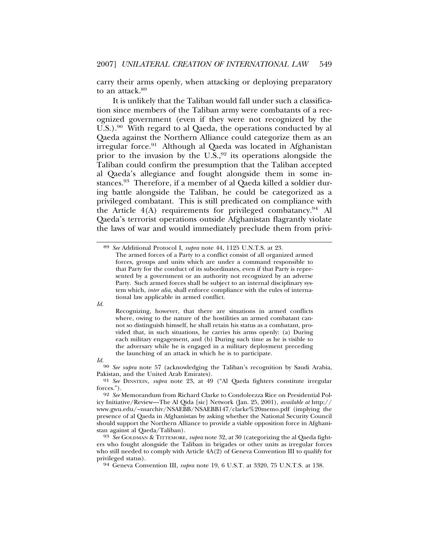carry their arms openly, when attacking or deploying preparatory to an attack.<sup>89</sup>

It is unlikely that the Taliban would fall under such a classification since members of the Taliban army were combatants of a recognized government (even if they were not recognized by the U.S.).<sup>90</sup> With regard to al Qaeda, the operations conducted by al Qaeda against the Northern Alliance could categorize them as an irregular force.91 Although al Qaeda was located in Afghanistan prior to the invasion by the  $U.S.,<sup>92</sup>$  its operations alongside the Taliban could confirm the presumption that the Taliban accepted al Qaeda's allegiance and fought alongside them in some instances.<sup>93</sup> Therefore, if a member of al Qaeda killed a soldier during battle alongside the Taliban, he could be categorized as a privileged combatant. This is still predicated on compliance with the Article  $4(A)$  requirements for privileged combatancy.<sup>94</sup> Al Qaeda's terrorist operations outside Afghanistan flagrantly violate the laws of war and would immediately preclude them from privi-

*Id.*

*Id.*<sup>90</sup> *See supra* note 57 (acknowledging the Taliban's recognition by Saudi Arabia, Pakistan, and the United Arab Emirates).

91 *See* DINSTEIN, *supra* note 23, at 49 ("Al Qaeda fighters constitute irregular forces.").

ers who fought alongside the Taliban in brigades or other units as irregular forces who still needed to comply with Article  $4A(2)$  of Geneva Convention III to qualify for privileged status).

<sup>94</sup> Geneva Convention III, *supra* note 19, 6 U.S.T. at 3320, 75 U.N.T.S. at 138.

<sup>89</sup> *See* Additional Protocol I, *supra* note 44, 1125 U.N.T.S. at 23. The armed forces of a Party to a conflict consist of all organized armed forces, groups and units which are under a command responsible to that Party for the conduct of its subordinates, even if that Party is represented by a government or an authority not recognized by an adverse Party. Such armed forces shall be subject to an internal disciplinary system which, *inter alia*, shall enforce compliance with the rules of international law applicable in armed conflict.

Recognizing, however, that there are situations in armed conflicts where, owing to the nature of the hostilities an armed combatant cannot so distinguish himself, he shall retain his status as a combatant, provided that, in such situations, he carries his arms openly: (a) During each military engagement, and (b) During such time as he is visible to the adversary while he is engaged in a military deployment preceding the launching of an attack in which he is to participate.

<sup>92</sup> *See* Memorandum from Richard Clarke to Condoleezza Rice on Presidential Policy Initiative/Review—The Al Qida [sic] Network (Jan. 25, 2001), *available at* http:// www.gwu.edu/~nsarchiv/NSAEBB/NSAEBB147/clarke%20memo.pdf (implying the presence of al Qaeda in Afghanistan by asking whether the National Security Council should support the Northern Alliance to provide a viable opposition force in Afghanistan against al Qaeda/Taliban). <sup>93</sup> *See* GOLDMAN & TITTEMORE, *supra* note 32, at 30 (categorizing the al Qaeda fight-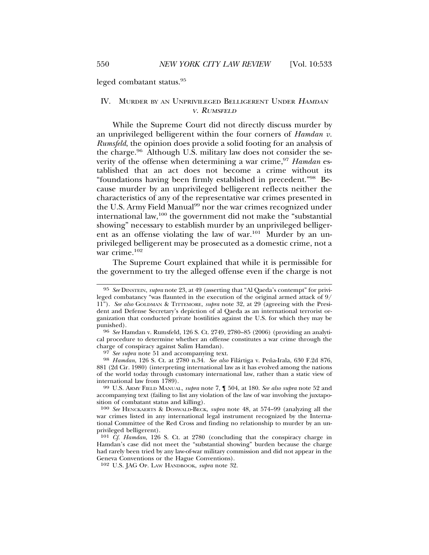leged combatant status.95

## IV. MURDER BY AN UNPRIVILEGED BELLIGERENT UNDER <sup>H</sup>AMDAN <sup>V</sup>. RUMSFELD

While the Supreme Court did not directly discuss murder by an unprivileged belligerent within the four corners of *Hamdan v. Rumsfeld*, the opinion does provide a solid footing for an analysis of the charge.96 Although U.S. military law does not consider the severity of the offense when determining a war crime,<sup>97</sup> *Hamdan* established that an act does not become a crime without its "foundations having been firmly established in precedent."98 Because murder by an unprivileged belligerent reflects neither the characteristics of any of the representative war crimes presented in the U.S. Army Field Manual<sup>99</sup> nor the war crimes recognized under international law,100 the government did not make the "substantial showing" necessary to establish murder by an unprivileged belligerent as an offense violating the law of war.<sup>101</sup> Murder by an unprivileged belligerent may be prosecuted as a domestic crime, not a war crime.<sup>102</sup>

The Supreme Court explained that while it is permissible for the government to try the alleged offense even if the charge is not

<sup>98</sup> *Hamdan*, 126 S. Ct. at 2780 n.34. *See also* Filártiga v. Peña-Irala, 630 F.2d 876, 881 (2d Cir. 1980) (interpreting international law as it has evolved among the nations of the world today through customary international law, rather than a static view of

international law from 1789). <sup>99</sup> U.S. ARMY FIELD MANUAL, *supra* note 7, ¶ 504, at 180. *See also supra* note 52 and accompanying text (failing to list any violation of the law of war involving the juxtaposition of combatant status and killing).

<sup>95</sup> *See* DINSTEIN, *supra* note 23, at 49 (asserting that "Al Qaeda's contempt" for privileged combatancy "was flaunted in the execution of the original armed attack of 9/ 11"). *See also* GOLDMAN & TITTEMORE, *supra* note 32, at 29 (agreeing with the President and Defense Secretary's depiction of al Qaeda as an international terrorist organization that conducted private hostilities against the U.S. for which they may be

punished). <sup>96</sup> *See* Hamdan v. Rumsfeld, 126 S. Ct. 2749, 2780–85 (2006) (providing an analytical procedure to determine whether an offense constitutes a war crime through the charge of conspiracy against Salim Hamdan).<br><sup>97</sup> See supra note 51 and accompanying text.

<sup>100</sup> *See* HENCKAERTS & DOSWALD-BECK, *supra* note 48, at 574–99 (analyzing all the war crimes listed in any international legal instrument recognized by the International Committee of the Red Cross and finding no relationship to murder by an unprivileged belligerent).

<sup>101</sup> *Cf. Hamdan*, 126 S. Ct. at 2780 (concluding that the conspiracy charge in Hamdan's case did not meet the "substantial showing" burden because the charge had rarely been tried by any law-of-war military commission and did not appear in the Geneva Conventions or the Hague Conventions).

<sup>102</sup> U.S. JAG OP. LAW HANDBOOK, *supra* note 32.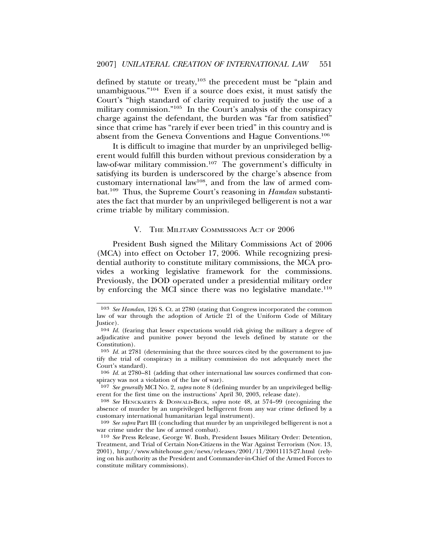defined by statute or treaty,<sup>103</sup> the precedent must be "plain and unambiguous."104 Even if a source does exist, it must satisfy the Court's "high standard of clarity required to justify the use of a military commission."105 In the Court's analysis of the conspiracy charge against the defendant, the burden was "far from satisfied" since that crime has "rarely if ever been tried" in this country and is absent from the Geneva Conventions and Hague Conventions.106

It is difficult to imagine that murder by an unprivileged belligerent would fulfill this burden without previous consideration by a law-of-war military commission.<sup>107</sup> The government's difficulty in satisfying its burden is underscored by the charge's absence from customary international law108, and from the law of armed combat.109 Thus, the Supreme Court's reasoning in *Hamdan* substantiates the fact that murder by an unprivileged belligerent is not a war crime triable by military commission.

#### V. THE MILITARY COMMISSIONS ACT OF 2006

President Bush signed the Military Commissions Act of 2006 (MCA) into effect on October 17, 2006. While recognizing presidential authority to constitute military commissions, the MCA provides a working legislative framework for the commissions. Previously, the DOD operated under a presidential military order by enforcing the MCI since there was no legislative mandate.<sup>110</sup>

<sup>103</sup> *See Hamdan*, 126 S. Ct. at 2780 (stating that Congress incorporated the common law of war through the adoption of Article 21 of the Uniform Code of Military Justice).

<sup>104</sup> *Id.* (fearing that lesser expectations would risk giving the military a degree of adjudicative and punitive power beyond the levels defined by statute or the Constitution).

<sup>105</sup> *Id.* at 2781 (determining that the three sources cited by the government to justify the trial of conspiracy in a military commission do not adequately meet the Court's standard).

<sup>106</sup> *Id.* at 2780–81 (adding that other international law sources confirmed that conspiracy was not a violation of the law of war).

<sup>107</sup> *See generally* MCI NO. 2, *supra* note 8 (defining murder by an unprivileged belligerent for the first time on the instructions' April 30, 2003, release date).

<sup>108</sup> *See* HENCKAERTS & DOSWALD-BECK, *supra* note 48, at 574–99 (recognizing the absence of murder by an unprivileged belligerent from any war crime defined by a customary international humanitarian legal instrument).

<sup>109</sup> *See supra* Part III (concluding that murder by an unprivileged belligerent is not a war crime under the law of armed combat).

<sup>110</sup> *See* Press Release, George W. Bush, President Issues Military Order: Detention, Treatment, and Trial of Certain Non-Citizens in the War Against Terrorism (Nov. 13, 2001), http://www.whitehouse.gov/news/releases/2001/11/20011113-27.html (relying on his authority as the President and Commander-in-Chief of the Armed Forces to constitute military commissions).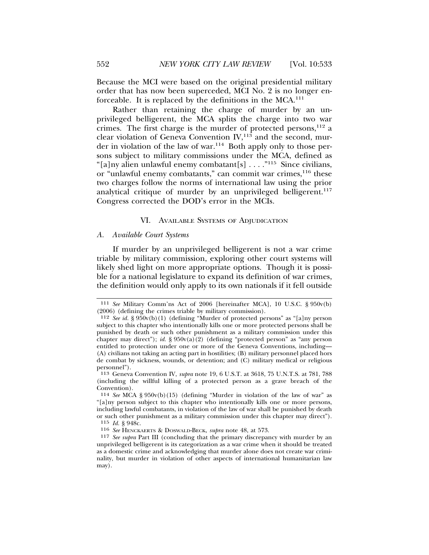Because the MCI were based on the original presidential military order that has now been superceded, MCI No. 2 is no longer enforceable. It is replaced by the definitions in the MCA.111

Rather than retaining the charge of murder by an unprivileged belligerent, the MCA splits the charge into two war crimes. The first charge is the murder of protected persons, $112$  a clear violation of Geneva Convention  $\text{IV},^{113}$  and the second, murder in violation of the law of war.114 Both apply only to those persons subject to military commissions under the MCA, defined as "[a]ny alien unlawful enemy combatant[s]  $\dots$ ."<sup>115</sup> Since civilians, or "unlawful enemy combatants," can commit war crimes,<sup>116</sup> these two charges follow the norms of international law using the prior analytical critique of murder by an unprivileged belligerent.<sup>117</sup> Congress corrected the DOD's error in the MCIs.

### VI. AVAILABLE SYSTEMS OF ADJUDICATION

#### *A. Available Court Systems*

If murder by an unprivileged belligerent is not a war crime triable by military commission, exploring other court systems will likely shed light on more appropriate options. Though it is possible for a national legislature to expand its definition of war crimes, the definition would only apply to its own nationals if it fell outside

<sup>111</sup> *See* Military Comm'ns Act of 2006 [hereinafter MCA], 10 U.S.C. § 950v(b) (2006) (defining the crimes triable by military commission).

<sup>112</sup> *See id.* § 950v(b)(1) (defining "Murder of protected persons" as "[a]ny person subject to this chapter who intentionally kills one or more protected persons shall be punished by death or such other punishment as a military commission under this chapter may direct"); *id.*  $\S 950v(a)(2)$  (defining "protected person" as "any person entitled to protection under one or more of the Geneva Conventions, including— (A) civilians not taking an acting part in hostilities; (B) military personnel placed hors de combat by sickness, wounds, or detention; and (C) military medical or religious personnel").

<sup>113</sup> Geneva Convention IV, *supra* note 19, 6 U.S.T. at 3618, 75 U.N.T.S. at 781, 788 (including the willful killing of a protected person as a grave breach of the Convention).

<sup>114</sup> *See* MCA § 950v(b)(15) (defining "Murder in violation of the law of war" as "[a]ny person subject to this chapter who intentionally kills one or more persons, including lawful combatants, in violation of the law of war shall be punished by death or such other punishment as a military commission under this chapter may direct"). 115 *Id.* § 948c.

<sup>116</sup> *See* HENCKAERTS & DOSWALD-BECK, *supra* note 48, at 573.

<sup>117</sup> *See supra* Part III (concluding that the primary discrepancy with murder by an unprivileged belligerent is its categorization as a war crime when it should be treated as a domestic crime and acknowledging that murder alone does not create war criminality, but murder in violation of other aspects of international humanitarian law may).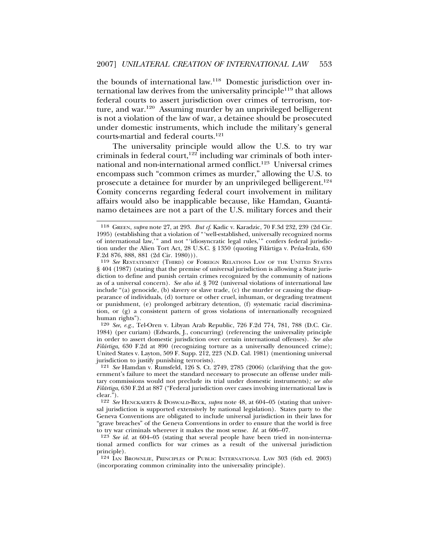the bounds of international law.118 Domestic jurisdiction over international law derives from the universality principle<sup>119</sup> that allows federal courts to assert jurisdiction over crimes of terrorism, torture, and war.120 Assuming murder by an unprivileged belligerent is not a violation of the law of war, a detainee should be prosecuted under domestic instruments, which include the military's general courts-martial and federal courts.<sup>121</sup>

The universality principle would allow the U.S. to try war criminals in federal court,<sup>122</sup> including war criminals of both international and non-international armed conflict.123 Universal crimes encompass such "common crimes as murder," allowing the U.S. to prosecute a detainee for murder by an unprivileged belligerent.<sup>124</sup> Comity concerns regarding federal court involvement in military affairs would also be inapplicable because, like Hamdan, Guanta-´ namo detainees are not a part of the U.S. military forces and their

120 *See*, *e.g.*, Tel-Oren v. Libyan Arab Republic, 726 F.2d 774, 781, 788 (D.C. Cir. 1984) (per curiam) (Edwards, J., concurring) (referencing the universality principle in order to assert domestic jurisdiction over certain international offenses). *See also Filártiga*, 630 F.2d at 890 (recognizing torture as a universally denounced crime); United States v. Layton, 509 F. Supp. 212, 223 (N.D. Cal. 1981) (mentioning universal jurisdiction to justify punishing terrorists).

121 *See* Hamdan v. Rumsfeld, 126 S. Ct. 2749, 2785 (2006) (clarifying that the government's failure to meet the standard necessary to prosecute an offense under military commissions would not preclude its trial under domestic instruments)*; see also Filártiga*, 630 F.2d at 887 ("Federal jurisdiction over cases involving international law is clear.").

122 *See* HENCKAERTS & DOSWALD-BECK, *supra* note 48, at 604–05 (stating that universal jurisdiction is supported extensively by national legislation). States party to the Geneva Conventions are obligated to include universal jurisdiction in their laws for "grave breaches" of the Geneva Conventions in order to ensure that the world is free to try war criminals wherever it makes the most sense. *Id.* at 606–07.

123 *See id.* at 604–05 (stating that several people have been tried in non-international armed conflicts for war crimes as a result of the universal jurisdiction principle).

124 IAN BROWNLIE, PRINCIPLES OF PUBLIC INTERNATIONAL LAW 303 (6th ed. 2003) (incorporating common criminality into the universality principle).

<sup>118</sup> GREEN, *supra* note 27, at 293. *But cf*. Kadic v. Karadzic, 70 F.3d 232, 239 (2d Cir. 1995) (establishing that a violation of "'well-established, universally recognized norms of international law,'" and not "'idiosyncratic legal rules,'" confers federal jurisdiction under the Alien Tort Act, 28 U.S.C. § 1350 (quoting Filártiga v. Peña-Irala, 630 F.2d 876, 888, 881 (2d Cir. 1980))).

<sup>119</sup> *See* RESTATEMENT (THIRD) OF FOREIGN RELATIONS LAW OF THE UNITED STATES § 404 (1987) (stating that the premise of universal jurisdiction is allowing a State jurisdiction to define and punish certain crimes recognized by the community of nations as of a universal concern). *See also id.* § 702 (universal violations of international law include "(a) genocide, (b) slavery or slave trade, (c) the murder or causing the disappearance of individuals, (d) torture or other cruel, inhuman, or degrading treatment or punishment, (e) prolonged arbitrary detention, (f) systematic racial discrimination, or (g) a consistent pattern of gross violations of internationally recognized human rights").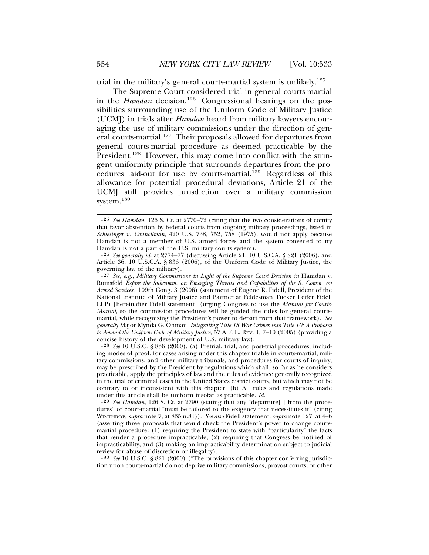trial in the military's general courts-martial system is unlikely.125

The Supreme Court considered trial in general courts-martial in the *Hamdan* decision.<sup>126</sup> Congressional hearings on the possibilities surrounding use of the Uniform Code of Military Justice (UCMJ) in trials after *Hamdan* heard from military lawyers encouraging the use of military commissions under the direction of general courts-martial.<sup>127</sup> Their proposals allowed for departures from general courts-martial procedure as deemed practicable by the President.<sup>128</sup> However, this may come into conflict with the stringent uniformity principle that surrounds departures from the procedures laid-out for use by courts-martial.<sup>129</sup> Regardless of this allowance for potential procedural deviations, Article 21 of the UCMJ still provides jurisdiction over a military commission system.<sup>130</sup>

128 *See* 10 U.S.C. § 836 (2000). (a) Pretrial, trial, and post-trial procedures, including modes of proof, for cases arising under this chapter triable in courts-martial, military commissions, and other military tribunals, and procedures for courts of inquiry, may be prescribed by the President by regulations which shall, so far as he considers practicable, apply the principles of law and the rules of evidence generally recognized in the trial of criminal cases in the United States district courts, but which may not be contrary to or inconsistent with this chapter; (b) All rules and regulations made under this article shall be uniform insofar as practicable. *Id.*

129 *See Hamdan*, 126 S. Ct. at 2790 (stating that any "departure[ ] from the procedures" of court-martial "must be tailored to the exigency that necessitates it" (citing WINTHROP, *supra* note 7, at 835 n.81)). *See also* Fidell statement, *supra* note 127, at 4–6 (asserting three proposals that would check the President's power to change courtsmartial procedure: (1) requiring the President to state with "particularity" the facts that render a procedure impracticable, (2) requiring that Congress be notified of impracticability, and (3) making an impracticability determination subject to judicial review for abuse of discretion or illegality).

130 *See* 10 U.S.C. § 821 (2000) ("The provisions of this chapter conferring jurisdiction upon courts-martial do not deprive military commissions, provost courts, or other

<sup>125</sup> *See Hamdan*, 126 S. Ct. at 2770–72 (citing that the two considerations of comity that favor abstention by federal courts from ongoing military proceedings, listed in *Schlesinger v. Councilman*, 420 U.S. 738, 752, 758 (1975), would not apply because Hamdan is not a member of U.S. armed forces and the system convened to try Hamdan is not a part of the U.S. military courts system).

<sup>126</sup> *See generally id.* at 2774–77 (discussing Article 21, 10 U.S.C.A. § 821 (2006), and Article 36, 10 U.S.C.A. § 836 (2006), of the Uniform Code of Military Justice, the governing law of the military).

<sup>&</sup>lt;sup>127</sup> *See, e.g., Military Commissions in Light of the Supreme Court Decision in Hamdan v.* Rumsfeld *Before the Subcomm. on Emerging Threats and Capabilities of the S. Comm. on Armed Services*, 109th Cong. 3 (2006) (statement of Eugene R. Fidell, President of the National Institute of Military Justice and Partner at Feldesman Tucker Leifer Fidell LLP) [hereinafter Fidell statement] (urging Congress to use the *Manual for Courts-Martial*, so the commission procedures will be guided the rules for general courtsmartial, while recognizing the President's power to depart from that framework). *See generally* Major Mynda G. Ohman, *Integrating Title 18 War Crimes into Title 10: A Proposal to Amend the Uniform Code of Military Justice*, 57 A.F. L. REV. 1, 7–10 (2005) (providing a concise history of the development of U.S. military law).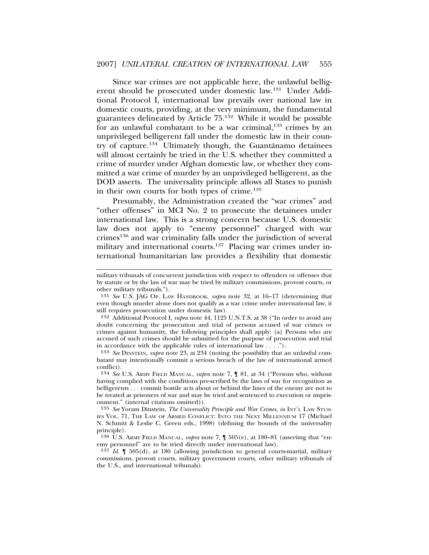Since war crimes are not applicable here, the unlawful belligerent should be prosecuted under domestic law.131 Under Additional Protocol I, international law prevails over national law in domestic courts, providing, at the very minimum, the fundamental guarantees delineated by Article 75.132 While it would be possible for an unlawful combatant to be a war criminal, $133$  crimes by an unprivileged belligerent fall under the domestic law in their country of capture.<sup>134</sup> Ultimately though, the Guantánamo detainees will almost certainly be tried in the U.S. whether they committed a crime of murder under Afghan domestic law, or whether they committed a war crime of murder by an unprivileged belligerent, as the DOD asserts. The universality principle allows all States to punish in their own courts for both types of crime.<sup>135</sup>

Presumably, the Administration created the "war crimes" and "other offenses" in MCI No. 2 to prosecute the detainees under international law. This is a strong concern because U.S. domestic law does not apply to "enemy personnel" charged with war crimes136 and war criminality falls under the jurisdiction of several military and international courts.<sup>137</sup> Placing war crimes under international humanitarian law provides a flexibility that domestic

133 *See* DINSTEIN, *supra* note 23, at 234 (noting the possibility that an unlawful combatant may intentionally commit a serious breach of the law of international armed conflict).

military tribunals of concurrent jurisdiction with respect to offenders or offenses that by statute or by the law of war may be tried by military commissions, provost courts, or other military tribunals.").

<sup>131</sup> *See* U.S. JAG OP. LAW HANDBOOK, *supra* note 32, at 16–17 (determining that even though murder alone does not qualify as a war crime under international law, it still requires prosecution under domestic law).

<sup>132</sup> Additional Protocol I, *supra* note 44, 1125 U.N.T.S. at 38 ("In order to avoid any doubt concerning the prosecution and trial of persons accused of war crimes or crimes against humanity, the following principles shall apply: (a) Persons who are accused of such crimes should be submitted for the purpose of prosecution and trial in accordance with the applicable rules of international law  $\ldots$ .").

<sup>134</sup> *See* U.S. ARMY FIELD MANUAL, *supra* note 7, ¶ 81, at 34 ("Persons who, without having complied with the conditions pre-scribed by the laws of war for recognition as belligerents . . . commit hostile acts about or behind the lines of the enemy are not to be treated as prisoners of war and may be tried and sentenced to execution or imprisonment." (internal citations omitted)).

<sup>135</sup> *See* Yoram Dinstein, *The Universality Principle and War Crimes*, *in* INT'L LAW STUD-IES VOL. 71, THE LAW OF ARMED CONFLICT: INTO THE NEXT MILLENNIUM 17 (Michael N. Schmitt & Leslie C. Green eds., 1998) (defining the bounds of the universality principle).

<sup>136</sup> U.S. ARMY FIELD MANUAL, *supra* note 7, ¶ 505(e), at 180–81 (asserting that "enemy personnel" are to be tried directly under international law).

<sup>137</sup> *Id.* ¶ 505(d), at 180 (allowing jurisdiction to general courts-martial, military commissions, provost courts, military government courts, other military tribunals of the U.S., and international tribunals).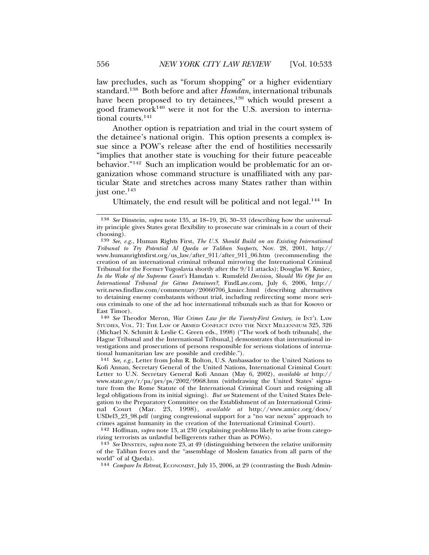law precludes, such as "forum shopping" or a higher evidentiary standard.138 Both before and after *Hamdan*, international tribunals have been proposed to try detainees,<sup>139</sup> which would present a good framework140 were it not for the U.S. aversion to international courts.<sup>141</sup>

Another option is repatriation and trial in the court system of the detainee's national origin. This option presents a complex issue since a POW's release after the end of hostilities necessarily "implies that another state is vouching for their future peaceable behavior."142 Such an implication would be problematic for an organization whose command structure is unaffiliated with any particular State and stretches across many States rather than within just one.<sup>143</sup>

Ultimately, the end result will be political and not legal.144 In

140 *See* Theodor Meron, *War Crimes Law for the Twenty-First Century*, *in* INT'L LAW STUDIES, VOL. 71: THE LAW OF ARMED CONFLICT INTO THE NEXT MILLENNIUM 325, 326 (Michael N. Schmitt & Leslie C. Green eds., 1998) ("The work of both tribunals[, the Hague Tribunal and the International Tribunal,] demonstrates that international investigations and prosecutions of persons responsible for serious violations of international humanitarian law are possible and credible.").

141 *See, e.g.,* Letter from John R. Bolton, U.S. Ambassador to the United Nations to Kofi Annan, Secretary General of the United Nations, International Criminal Court: Letter to U.N. Secretary General Kofi Annan (May 6, 2002), *available at* http:// www.state.gov/r/pa/prs/ps/2002/9968.htm (withdrawing the United States' signature from the Rome Statute of the International Criminal Court and resigning all legal obligations from its initial signing). *But see* Statement of the United States Delegation to the Preparatory Committee on the Establishment of an International Criminal Court (Mar. 23, 1998), *available at* http://www.amicc.org/docs/ USDel3\_23\_98.pdf (urging congressional support for a "no war nexus" approach to crimes against humanity in the creation of the International Criminal Court).

142 Hoffman, *supra* note 13, at 230 (explaining problems likely to arise from categorizing terrorists as unlawful belligerents rather than as POWs).

143 *See* DINSTEIN, *supra* note 23, at 49 (distinguishing between the relative uniformity of the Taliban forces and the "assemblage of Moslem fanatics from all parts of the world" of al Qaeda).

144 *Compare In Retreat*, ECONOMIST, July 15, 2006, at 29 (contrasting the Bush Admin-

<sup>138</sup> *See* Dinstein, *supra* note 135, at 18–19, 26, 30–33 (describing how the universality principle gives States great flexibility to prosecute war criminals in a court of their choosing).

<sup>139</sup> *See*, *e.g.*, Human Rights First, *The U.S. Should Build on an Existing International Tribunal to Try Potential Al Qaeda or Taliban Suspects*, Nov. 28, 2001, http:// www.humanrightsfirst.org/us\_law/after\_911/after\_911\_06.htm (recommending the creation of an international criminal tribunal mirroring the International Criminal Tribunal for the Former Yugoslavia shortly after the 9/11 attacks); Douglas W. Kmiec, *In the Wake of the Supreme Court's* Hamdan v. Rumsfeld *Decision, Should We Opt for an International Tribunal for Gitmo Detainees?*, FindLaw.com, July 6, 2006, http:// writ.news.findlaw.com/commentary/20060706\_kmiec.html (describing alternatives to detaining enemy combatants without trial, including redirecting some more serious criminals to one of the ad hoc international tribunals such as that for Kosovo or East Timor).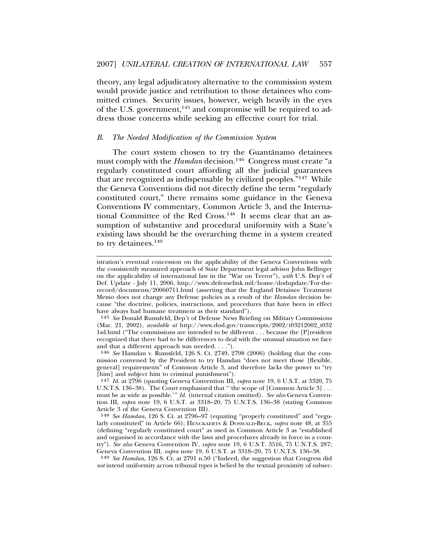theory, any legal adjudicatory alternative to the commission system would provide justice and retribution to those detainees who committed crimes. Security issues, however, weigh heavily in the eyes of the U.S. government,<sup>145</sup> and compromise will be required to address those concerns while seeking an effective court for trial.

#### *B. The Needed Modification of the Commission System*

The court system chosen to try the Guantánamo detainees must comply with the *Hamdan* decision.<sup>146</sup> Congress must create "a regularly constituted court affording all the judicial guarantees that are recognized as indispensable by civilized peoples."147 While the Geneva Conventions did not directly define the term "regularly constituted court," there remains some guidance in the Geneva Conventions IV commentary, Common Article 3, and the International Committee of the Red Cross.<sup>148</sup> It seems clear that an assumption of substantive and procedural uniformity with a State's existing laws should be the overarching theme in a system created to try detainees.<sup>149</sup>

istration's eventual concession on the applicability of the Geneva Conventions with the consistently measured approach of State Department legal advisor John Bellinger on the applicability of international law in the "War on Terror"), *with* U.S. Dep't of Def. Update - July 11, 2006, http://www.defenselink.mil/home/dodupdate/For-therecord/documents/20060711.html (asserting that the England Detainee Treatment Memo does not change any Defense policies as a result of the *Hamdan* decision because "the doctrine, policies, instructions, and procedures that have been in effect have always had humane treatment as their standard").

<sup>145</sup> *See* Donald Rumsfeld, Dep't of Defense News Briefing on Military Commissions (Mar. 21, 2002), *available at* http://www.dod.gov/transcripts/2002/t03212002\_t032 1sd.html ("The commissions are intended to be different . . . because the [P]resident recognized that there had to be differences to deal with the unusual situation we face and that a different approach was needed. . . .").

<sup>146</sup> *See* Hamdan v. Rumsfeld, 126 S. Ct. 2749, 2798 (2006) (holding that the commission convened by the President to try Hamdan "does not meet those [flexible, general] requirements" of Common Article 3, and therefore lacks the power to "try [him] and subject him to criminal punishment").

<sup>147</sup> *Id.* at 2796 (quoting Geneva Convention III, *supra* note 19, 6 U.S.T. at 3320, 75 U.N.T.S. 136–38). The Court emphasized that "'the scope of [Common Article 3] . . . must be as wide as possible.'" *Id.* (internal citation omitted). *See also* Geneva Convention III, *supra* note 19, 6 U.S.T. at 3318–20, 75 U.N.T.S. 136–38 (stating Common Article 3 of the Geneva Convention III).

<sup>148</sup> *See Hamdan*, 126 S. Ct. at 2796–97 (equating "properly constituted" and "regularly constituted" in Article 66); HENCKAERTS & DOSWALD-BECK, *supra* note 48, at 355 (defining "regularly constituted court" as used in Common Article 3 as "established and organised in accordance with the laws and procedures already in force in a country"). *See also* Geneva Convention IV, *supra* note 19, 6 U.S.T. 3516, 75 U.N.T.S. 287; Geneva Convention III, *supra* note 19, 6 U.S.T. at 3318–20, 75 U.N.T.S. 136–38.

<sup>149</sup> *See Hamdan*, 126 S. Ct. at 2791 n.50 ("Indeed, the suggestion that Congress did *not* intend uniformity across tribunal types is belied by the textual proximity of subsec-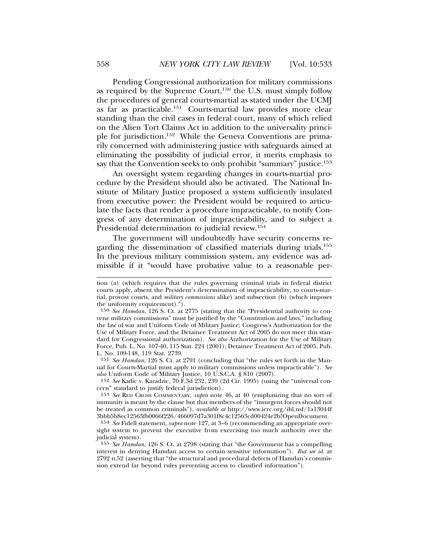Pending Congressional authorization for military commissions as required by the Supreme Court, $150$  the U.S. must simply follow the procedures of general courts-martial as stated under the UCMJ as far as practicable.151 Courts-martial law provides more clear standing than the civil cases in federal court, many of which relied on the Alien Tort Claims Act in addition to the universality principle for jurisdiction.152 While the Geneva Conventions are primarily concerned with administering justice with safeguards aimed at eliminating the possibility of judicial error, it merits emphasis to say that the Convention seeks to only prohibit "summary" justice.<sup>153</sup>

An oversight system regarding changes in courts-martial procedure by the President should also be activated. The National Institute of Military Justice proposed a system sufficiently insulated from executive power: the President would be required to articulate the facts that render a procedure impracticable, to notify Congress of any determination of impracticability, and to subject a Presidential determination to judicial review.154

The government will undoubtedly have security concerns regarding the dissemination of classified materials during trials.155 In the previous military commission system, any evidence was admissible if it "would have probative value to a reasonable per-

151 *See Hamdan*, 126 S. Ct. at 2791 (concluding that "the rules set forth in the Manual for Courts-Martial must apply to military commissions unless impracticable"). *See also* Uniform Code of Military Justice, 10 U.S.C.A. § 810 (2007).

152 *See* Kadic v. Karadzic, 70 F.3d 232, 239 (2d Cir. 1995) (using the "universal concern" standard to justify federal jurisdiction).

tion (a) (which requires that the rules governing criminal trials in federal district courts apply, absent the President's determination of impracticability, to courts-martial, provost courts, and *military commissions* alike) and subsection (b) (which imposes the uniformity requirement).").

<sup>150</sup> *See Hamdan*, 126 S. Ct. at 2775 (stating that the "Presidential authority to convene military commissions" must be justified by the "Constitution and laws," including the law of war and Uniform Code of Military Justice; Congress's Authorization for the Use of Military Force, and the Detainee Treatment Act of 2005 do not meet this standard for Congressional authorization). *See also* Authorization for the Use of Military Force, Pub. L. No. 107-40, 115 Stat. 224 (2001); Detainee Treatment Act of 2005, Pub. L. No. 109-148, 119 Stat. 2739.

<sup>153</sup> *See* RED CROSS COMMENTARY, *supra* note 46, at 40 (emphasizing that no sort of immunity is meant by the clause but that members of the "insurgent forces should not be treated as common criminals"), *available at* http://www.icrc.org/ihl.nsf/1a13044f 3bbb5b8ec12563fb0066f226/466097d7a301f8c4c12563cd00424e2b!OpenDocument.

<sup>154</sup> *See* Fidell statement, *supra* note 127, at 3–6 (recommending an appropriate oversight system to prevent the executive from exercising too much authority over the judicial system).

<sup>155</sup> *See Hamdan*, 126 S. Ct. at 2798 (stating that "the Government has a compelling interest in denying Hamdan access to certain sensitive information"). *But see id.* at 2792 n.52 (asserting that "the structural and procedural defects of Hamdan's commission extend far beyond rules preventing access to classified information").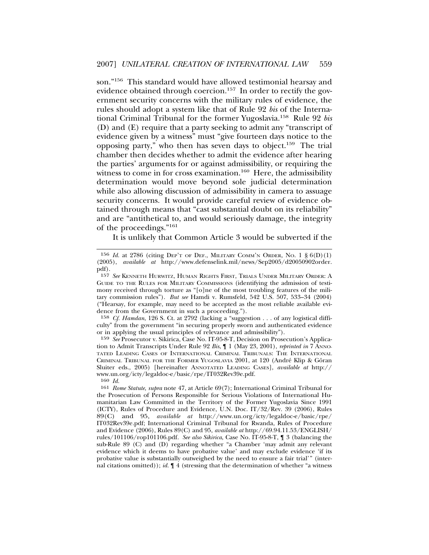son."156 This standard would have allowed testimonial hearsay and evidence obtained through coercion.<sup>157</sup> In order to rectify the government security concerns with the military rules of evidence, the rules should adopt a system like that of Rule 92 *bis* of the International Criminal Tribunal for the former Yugoslavia.158 Rule 92 *bis* (D) and (E) require that a party seeking to admit any "transcript of evidence given by a witness" must "give fourteen days notice to the opposing party," who then has seven days to object.159 The trial chamber then decides whether to admit the evidence after hearing the parties' arguments for or against admissibility, or requiring the witness to come in for cross examination.<sup>160</sup> Here, the admissibility determination would move beyond sole judicial determination while also allowing discussion of admissibility in camera to assuage security concerns. It would provide careful review of evidence obtained through means that "cast substantial doubt on its reliability" and are "antithetical to, and would seriously damage, the integrity of the proceedings."<sup>161</sup>

It is unlikely that Common Article 3 would be subverted if the

158 *Cf. Hamdan*, 126 S. Ct. at 2792 (lacking a "suggestion . . . of any logistical difficulty" from the government "in securing properly sworn and authenticated evidence or in applying the usual principles of relevance and admissibility").

159 *See* Prosecutor v. Sikirica, Case No. IT-95-8-T, Decision on Prosecution's Application to Admit Transcripts Under Rule 92 *Bis*,  $\int$  1 (May 23, 2001), *reprinted in* 7 ANNO-TATED LEADING CASES OF INTERNATIONAL CRIMINAL TRIBUNALS: THE INTERNATIONAL CRIMINAL TRIBUNAL FOR THE FORMER YUGOSLAVIA 2001, at 120 (André Klip & Göran Sluiter eds., 2005) [hereinafter ANNOTATED LEADING CASES], *available at* http:// www.un.org/icty/legaldoc-e/basic/rpe/IT032Rev39e.pdf.

<sup>&</sup>lt;sup>156</sup> *Id.* at 2786 (citing DEP'T OF DEF., MILITARY COMM'N ORDER, No. 1  $\S 6(D)(1)$ (2005), *available at* http://www.defenselink.mil/news/Sep2005/d20050902order. pdf).

<sup>157</sup> *See* KENNETH HURWITZ, HUMAN RIGHTS FIRST, TRIALS UNDER MILITARY ORDER: A GUIDE TO THE RULES FOR MILITARY COMMISSIONS (identifying the admission of testimony received through torture as "[o]ne of the most troubling features of the military commission rules"). *But see* Hamdi v. Rumsfeld, 542 U.S. 507, 533–34 (2004) ("Hearsay, for example, may need to be accepted as the most reliable available evidence from the Government in such a proceeding.").

<sup>160</sup> *Id.*

<sup>161</sup> *Rome Statute*, *supra* note 47, at Article 69(7); International Criminal Tribunal for the Prosecution of Persons Responsible for Serious Violations of International Humanitarian Law Committed in the Territory of the Former Yugoslavia Since 1991 (ICTY), Rules of Procedure and Evidence, U.N. Doc. IT/32/Rev. 39 (2006), Rules 89(C) and 95, *available at* http://www.un.org/icty/legaldoc-e/basic/rpe/ IT032Rev39e.pdf; International Criminal Tribunal for Rwanda, Rules of Procedure and Evidence (2006), Rules 89(C) and 95, *available at* http://69.94.11.53/ENGLISH/ rules/101106/rop101106.pdf. *See also Sikirica*, Case No. IT-95-8-T, ¶ 3 (balancing the sub-Rule 89 (C) and (D) regarding whether "a Chamber 'may admit any relevant evidence which it deems to have probative value' and may exclude evidence 'if its probative value is substantially outweighed by the need to ensure a fair trial'" (internal citations omitted)); *id.* ¶ 4 (stressing that the determination of whether "a witness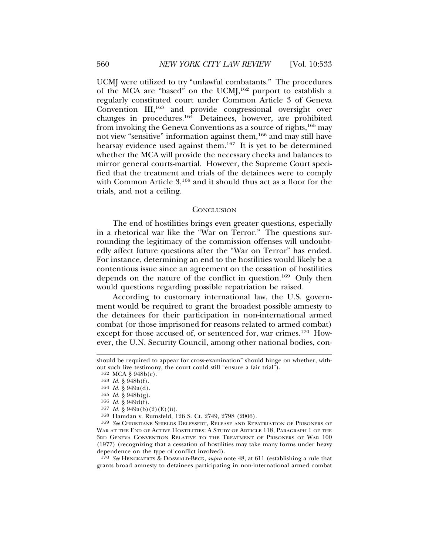UCMJ were utilized to try "unlawful combatants." The procedures of the MCA are "based" on the UCM $J<sup>162</sup>$  purport to establish a regularly constituted court under Common Article 3 of Geneva Convention III,163 and provide congressional oversight over changes in procedures.164 Detainees, however, are prohibited from invoking the Geneva Conventions as a source of rights,165 may not view "sensitive" information against them,166 and may still have hearsay evidence used against them.<sup>167</sup> It is yet to be determined whether the MCA will provide the necessary checks and balances to mirror general courts-martial. However, the Supreme Court specified that the treatment and trials of the detainees were to comply with Common Article 3,<sup>168</sup> and it should thus act as a floor for the trials, and not a ceiling.

#### **CONCLUSION**

The end of hostilities brings even greater questions, especially in a rhetorical war like the "War on Terror." The questions surrounding the legitimacy of the commission offenses will undoubtedly affect future questions after the "War on Terror" has ended. For instance, determining an end to the hostilities would likely be a contentious issue since an agreement on the cessation of hostilities depends on the nature of the conflict in question.<sup>169</sup> Only then would questions regarding possible repatriation be raised.

According to customary international law, the U.S. government would be required to grant the broadest possible amnesty to the detainees for their participation in non-international armed combat (or those imprisoned for reasons related to armed combat) except for those accused of, or sentenced for, war crimes.<sup>170</sup> However, the U.N. Security Council, among other national bodies, con-

170 *See* HENCKAERTS & DOSWALD-BECK, *supra* note 48, at 611 (establishing a rule that grants broad amnesty to detainees participating in non-international armed combat

should be required to appear for cross-examination" should hinge on whether, without such live testimony, the court could still "ensure a fair trial").

<sup>162</sup> MCA § 948b(c).

<sup>163</sup> *Id.* § 948b(f).

<sup>164</sup> *Id.* § 949a(d).

<sup>165</sup> *Id.* § 948b(g).

<sup>166</sup> *Id.* § 949d(f).

<sup>167</sup> *Id.* § 949a(b)(2)(E)(ii).

<sup>168</sup> Hamdan v. Rumsfeld, 126 S. Ct. 2749, 2798 (2006).

<sup>169</sup> *See* CHRISTIANE SHIELDS DELESSERT, RELEASE AND REPATRIATION OF PRISONERS OF WAR AT THE END OF ACTIVE HOSTILITIES: A STUDY OF ARTICLE 118, PARAGRAPH 1 OF THE 3RD GENEVA CONVENTION RELATIVE TO THE TREATMENT OF PRISONERS OF WAR 100 (1977) (recognizing that a cessation of hostilities may take many forms under heavy dependence on the type of conflict involved).